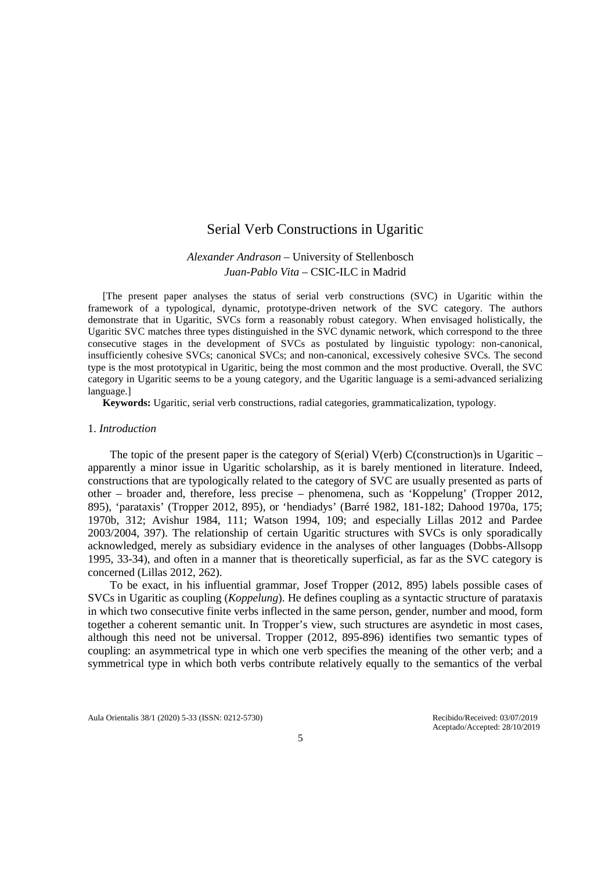# Serial Verb Constructions in Ugaritic

# *Alexander Andrason* – University of Stellenbosch *Juan-Pablo Vita* – CSIC-ILC in Madrid

[The present paper analyses the status of serial verb constructions (SVC) in Ugaritic within the framework of a typological, dynamic, prototype-driven network of the SVC category. The authors demonstrate that in Ugaritic, SVCs form a reasonably robust category. When envisaged holistically, the Ugaritic SVC matches three types distinguished in the SVC dynamic network, which correspond to the three consecutive stages in the development of SVCs as postulated by linguistic typology: non-canonical, insufficiently cohesive SVCs; canonical SVCs; and non-canonical, excessively cohesive SVCs. The second type is the most prototypical in Ugaritic, being the most common and the most productive. Overall, the SVC category in Ugaritic seems to be a young category, and the Ugaritic language is a semi-advanced serializing language.]

**Keywords:** Ugaritic, serial verb constructions, radial categories, grammaticalization, typology.

#### 1. *Introduction*

The topic of the present paper is the category of  $S(\text{erial})$   $V(\text{erb})$   $C(\text{construction})$ s in Ugaritic – apparently a minor issue in Ugaritic scholarship, as it is barely mentioned in literature. Indeed, constructions that are typologically related to the category of SVC are usually presented as parts of other – broader and, therefore, less precise – phenomena, such as 'Koppelung' (Tropper 2012, 895), 'parataxis' (Tropper 2012, 895), or 'hendiadys' (Barré 1982, 181-182; Dahood 1970a, 175; 1970b, 312; Avishur 1984, 111; Watson 1994, 109; and especially Lillas 2012 and Pardee 2003/2004, 397). The relationship of certain Ugaritic structures with SVCs is only sporadically acknowledged, merely as subsidiary evidence in the analyses of other languages (Dobbs-Allsopp 1995, 33-34), and often in a manner that is theoretically superficial, as far as the SVC category is concerned (Lillas 2012, 262).

To be exact, in his influential grammar, Josef Tropper (2012, 895) labels possible cases of SVCs in Ugaritic as coupling (*Koppelung*). He defines coupling as a syntactic structure of parataxis in which two consecutive finite verbs inflected in the same person, gender, number and mood, form together a coherent semantic unit. In Tropper's view, such structures are asyndetic in most cases, although this need not be universal. Tropper (2012, 895-896) identifies two semantic types of coupling: an asymmetrical type in which one verb specifies the meaning of the other verb; and a symmetrical type in which both verbs contribute relatively equally to the semantics of the verbal

Aula Orientalis 38/1 (2020) 5-33 (ISSN: 0212-5730) Recibido/Received: 03/07/2019

Aceptado/Accepted: 28/10/2019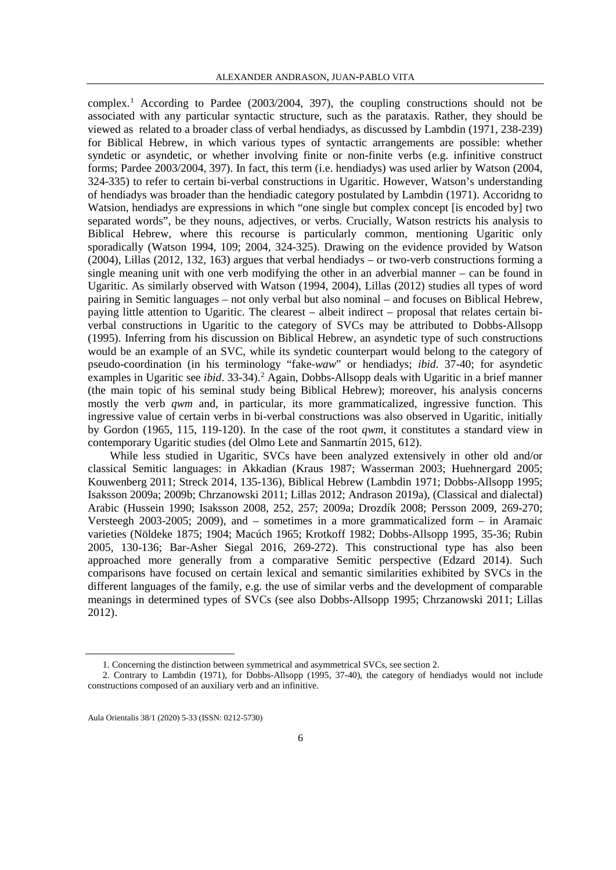complex.<sup>[1](#page-1-0)</sup> According to Pardee (2003/2004, 397), the coupling constructions should not be associated with any particular syntactic structure, such as the parataxis. Rather, they should be viewed as related to a broader class of verbal hendiadys, as discussed by Lambdin (1971, 238-239) for Biblical Hebrew, in which various types of syntactic arrangements are possible: whether syndetic or asyndetic, or whether involving finite or non-finite verbs (e.g. infinitive construct forms; Pardee 2003/2004, 397). In fact, this term (i.e. hendiadys) was used arlier by Watson (2004, 324-335) to refer to certain bi-verbal constructions in Ugaritic. However, Watson's understanding of hendiadys was broader than the hendiadic category postulated by Lambdin (1971). Accoridng to Watsion, hendiadys are expressions in which "one single but complex concept [is encoded by] two separated words", be they nouns, adjectives, or verbs. Crucially, Watson restricts his analysis to Biblical Hebrew, where this recourse is particularly common, mentioning Ugaritic only sporadically (Watson 1994, 109; 2004, 324-325). Drawing on the evidence provided by Watson (2004), Lillas (2012, 132, 163) argues that verbal hendiadys – or two-verb constructions forming a single meaning unit with one verb modifying the other in an adverbial manner – can be found in Ugaritic. As similarly observed with Watson (1994, 2004), Lillas (2012) studies all types of word pairing in Semitic languages – not only verbal but also nominal – and focuses on Biblical Hebrew, paying little attention to Ugaritic. The clearest – albeit indirect – proposal that relates certain biverbal constructions in Ugaritic to the category of SVCs may be attributed to Dobbs-Allsopp (1995). Inferring from his discussion on Biblical Hebrew, an asyndetic type of such constructions would be an example of an SVC, while its syndetic counterpart would belong to the category of pseudo-coordination (in his terminology "fake-*waw*" or hendiadys; *ibid*. 37-40; for asyndetic examples in Ugaritic see *ibid*. 33-34).<sup>[2](#page-1-1)</sup> Again, Dobbs-Allsopp deals with Ugaritic in a brief manner (the main topic of his seminal study being Biblical Hebrew); moreover, his analysis concerns mostly the verb *qwm* and, in particular, its more grammaticalized, ingressive function. This ingressive value of certain verbs in bi-verbal constructions was also observed in Ugaritic, initially by Gordon (1965, 115, 119-120). In the case of the root *qwm*, it constitutes a standard view in contemporary Ugaritic studies (del Olmo Lete and Sanmartín 2015, 612).

While less studied in Ugaritic, SVCs have been analyzed extensively in other old and/or classical Semitic languages: in Akkadian (Kraus 1987; Wasserman 2003; Huehnergard 2005; Kouwenberg 2011; Streck 2014, 135-136), Biblical Hebrew (Lambdin 1971; Dobbs-Allsopp 1995; Isaksson 2009a; 2009b; Chrzanowski 2011; Lillas 2012; Andrason 2019a), (Classical and dialectal) Arabic (Hussein 1990; Isaksson 2008, 252, 257; 2009a; Drozdík 2008; Persson 2009, 269-270; Versteegh 2003-2005; 2009), and – sometimes in a more grammaticalized form – in Aramaic varieties (Nöldeke 1875; 1904; Macúch 1965; Krotkoff 1982; Dobbs-Allsopp 1995, 35-36; Rubin 2005, 130-136; Bar-Asher Siegal 2016, 269-272). This constructional type has also been approached more generally from a comparative Semitic perspective (Edzard 2014). Such comparisons have focused on certain lexical and semantic similarities exhibited by SVCs in the different languages of the family, e.g. the use of similar verbs and the development of comparable meanings in determined types of SVCs (see also Dobbs-Allsopp 1995; Chrzanowski 2011; Lillas 2012).

 <sup>1.</sup> Concerning the distinction between symmetrical and asymmetrical SVCs, see section 2.

<span id="page-1-1"></span><span id="page-1-0"></span><sup>2.</sup> Contrary to Lambdin (1971), for Dobbs-Allsopp (1995, 37-40), the category of hendiadys would not include constructions composed of an auxiliary verb and an infinitive.

Aula Orientalis 38/1 (2020) 5-33 (ISSN: 0212-5730)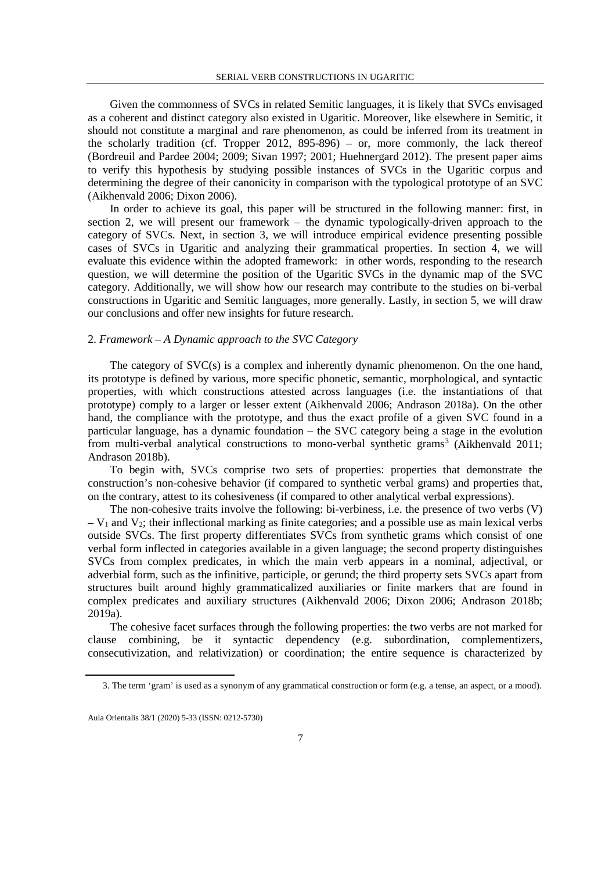Given the commonness of SVCs in related Semitic languages, it is likely that SVCs envisaged as a coherent and distinct category also existed in Ugaritic. Moreover, like elsewhere in Semitic, it should not constitute a marginal and rare phenomenon, as could be inferred from its treatment in the scholarly tradition (cf. Tropper 2012, 895-896) – or, more commonly, the lack thereof (Bordreuil and Pardee 2004; 2009; Sivan 1997; 2001; Huehnergard 2012). The present paper aims to verify this hypothesis by studying possible instances of SVCs in the Ugaritic corpus and determining the degree of their canonicity in comparison with the typological prototype of an SVC (Aikhenvald 2006; Dixon 2006).

In order to achieve its goal, this paper will be structured in the following manner: first, in section 2, we will present our framework – the dynamic typologically-driven approach to the category of SVCs. Next, in section 3, we will introduce empirical evidence presenting possible cases of SVCs in Ugaritic and analyzing their grammatical properties. In section 4, we will evaluate this evidence within the adopted framework: in other words, responding to the research question, we will determine the position of the Ugaritic SVCs in the dynamic map of the SVC category. Additionally, we will show how our research may contribute to the studies on bi-verbal constructions in Ugaritic and Semitic languages, more generally. Lastly, in section 5, we will draw our conclusions and offer new insights for future research.

## 2. *Framework – A Dynamic approach to the SVC Category*

The category of SVC(s) is a complex and inherently dynamic phenomenon. On the one hand, its prototype is defined by various, more specific phonetic, semantic, morphological, and syntactic properties, with which constructions attested across languages (i.e. the instantiations of that prototype) comply to a larger or lesser extent (Aikhenvald 2006; Andrason 2018a). On the other hand, the compliance with the prototype, and thus the exact profile of a given SVC found in a particular language, has a dynamic foundation – the SVC category being a stage in the evolution from multi-verbal analytical constructions to mono-verbal synthetic grams<sup>[3](#page-2-0)</sup> (Aikhenvald 2011; Andrason 2018b).

To begin with, SVCs comprise two sets of properties: properties that demonstrate the construction's non-cohesive behavior (if compared to synthetic verbal grams) and properties that, on the contrary, attest to its cohesiveness (if compared to other analytical verbal expressions).

The non-cohesive traits involve the following: bi-verbiness, i.e. the presence of two verbs (V)  $-V_1$  and  $V_2$ ; their inflectional marking as finite categories; and a possible use as main lexical verbs outside SVCs. The first property differentiates SVCs from synthetic grams which consist of one verbal form inflected in categories available in a given language; the second property distinguishes SVCs from complex predicates, in which the main verb appears in a nominal, adjectival, or adverbial form, such as the infinitive, participle, or gerund; the third property sets SVCs apart from structures built around highly grammaticalized auxiliaries or finite markers that are found in complex predicates and auxiliary structures (Aikhenvald 2006; Dixon 2006; Andrason 2018b; 2019a).

The cohesive facet surfaces through the following properties: the two verbs are not marked for clause combining, be it syntactic dependency (e.g. subordination, complementizers, consecutivization, and relativization) or coordination; the entire sequence is characterized by

 <sup>3.</sup> The term 'gram' is used as a synonym of any grammatical construction or form (e.g. a tense, an aspect, or a mood).

<span id="page-2-0"></span>Aula Orientalis 38/1 (2020) 5-33 (ISSN: 0212-5730)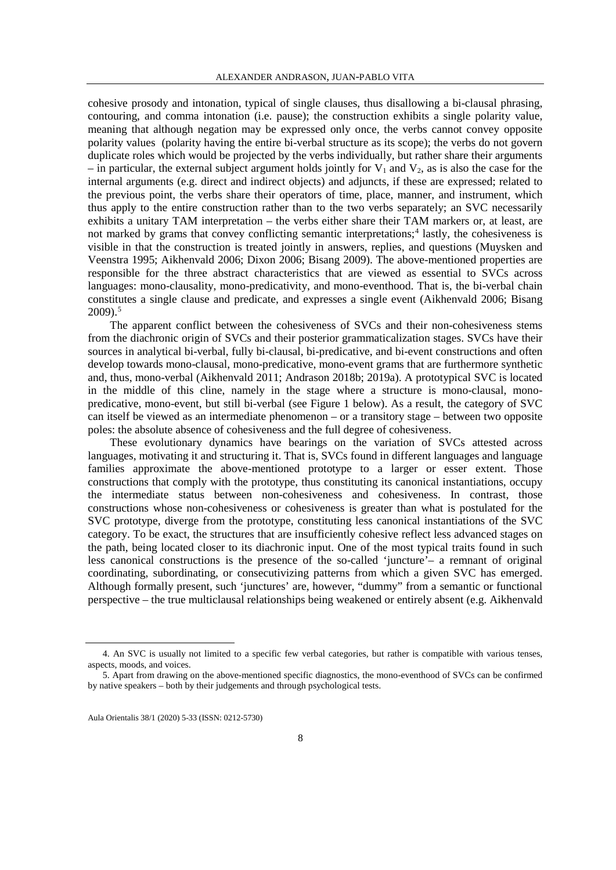cohesive prosody and intonation, typical of single clauses, thus disallowing a bi-clausal phrasing, contouring, and comma intonation (i.e. pause); the construction exhibits a single polarity value, meaning that although negation may be expressed only once, the verbs cannot convey opposite polarity values (polarity having the entire bi-verbal structure as its scope); the verbs do not govern duplicate roles which would be projected by the verbs individually, but rather share their arguments – in particular, the external subject argument holds jointly for  $V_1$  and  $V_2$ , as is also the case for the internal arguments (e.g. direct and indirect objects) and adjuncts, if these are expressed; related to the previous point, the verbs share their operators of time, place, manner, and instrument, which thus apply to the entire construction rather than to the two verbs separately; an SVC necessarily exhibits a unitary TAM interpretation – the verbs either share their TAM markers or, at least, are not marked by grams that convey conflicting semantic interpretations;<sup>[4](#page-3-0)</sup> lastly, the cohesiveness is visible in that the construction is treated jointly in answers, replies, and questions (Muysken and Veenstra 1995; Aikhenvald 2006; Dixon 2006; Bisang 2009). The above-mentioned properties are responsible for the three abstract characteristics that are viewed as essential to SVCs across languages: mono-clausality, mono-predicativity, and mono-eventhood. That is, the bi-verbal chain constitutes a single clause and predicate, and expresses a single event (Aikhenvald 2006; Bisang  $2009$ .<sup>[5](#page-3-1)</sup>

The apparent conflict between the cohesiveness of SVCs and their non-cohesiveness stems from the diachronic origin of SVCs and their posterior grammaticalization stages. SVCs have their sources in analytical bi-verbal, fully bi-clausal, bi-predicative, and bi-event constructions and often develop towards mono-clausal, mono-predicative, mono-event grams that are furthermore synthetic and, thus, mono-verbal (Aikhenvald 2011; Andrason 2018b; 2019a). A prototypical SVC is located in the middle of this cline, namely in the stage where a structure is mono-clausal, monopredicative, mono-event, but still bi-verbal (see Figure 1 below). As a result, the category of SVC can itself be viewed as an intermediate phenomenon – or a transitory stage – between two opposite poles: the absolute absence of cohesiveness and the full degree of cohesiveness.

These evolutionary dynamics have bearings on the variation of SVCs attested across languages, motivating it and structuring it. That is, SVCs found in different languages and language families approximate the above-mentioned prototype to a larger or esser extent. Those constructions that comply with the prototype, thus constituting its canonical instantiations, occupy the intermediate status between non-cohesiveness and cohesiveness. In contrast, those constructions whose non-cohesiveness or cohesiveness is greater than what is postulated for the SVC prototype, diverge from the prototype, constituting less canonical instantiations of the SVC category. To be exact, the structures that are insufficiently cohesive reflect less advanced stages on the path, being located closer to its diachronic input. One of the most typical traits found in such less canonical constructions is the presence of the so-called 'juncture'– a remnant of original coordinating, subordinating, or consecutivizing patterns from which a given SVC has emerged. Although formally present, such 'junctures' are, however, "dummy" from a semantic or functional perspective – the true multiclausal relationships being weakened or entirely absent (e.g. Aikhenvald

<span id="page-3-0"></span> <sup>4.</sup> An SVC is usually not limited to a specific few verbal categories, but rather is compatible with various tenses, aspects, moods, and voices.

<span id="page-3-1"></span><sup>5.</sup> Apart from drawing on the above-mentioned specific diagnostics, the mono-eventhood of SVCs can be confirmed by native speakers – both by their judgements and through psychological tests.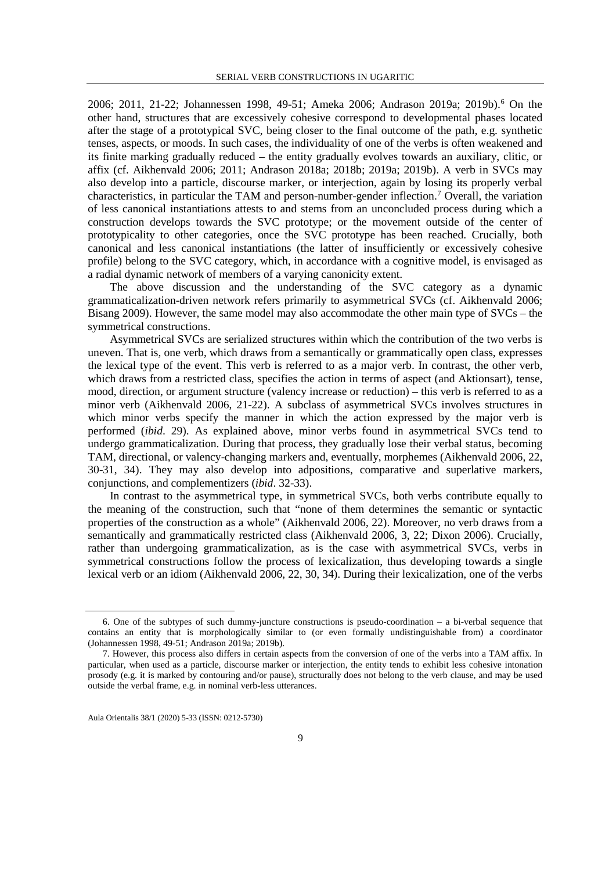200[6](#page-4-0); 2011, 21-22; Johannessen 1998, 49-51; Ameka 2006; Andrason 2019a; 2019b).<sup>6</sup> On the other hand, structures that are excessively cohesive correspond to developmental phases located after the stage of a prototypical SVC, being closer to the final outcome of the path, e.g. synthetic tenses, aspects, or moods. In such cases, the individuality of one of the verbs is often weakened and its finite marking gradually reduced – the entity gradually evolves towards an auxiliary, clitic, or affix (cf. Aikhenvald 2006; 2011; Andrason 2018a; 2018b; 2019a; 2019b). A verb in SVCs may also develop into a particle, discourse marker, or interjection, again by losing its properly verbal characteristics, in particular the TAM and person-number-gender inflection.[7](#page-4-1) Overall, the variation of less canonical instantiations attests to and stems from an unconcluded process during which a construction develops towards the SVC prototype; or the movement outside of the center of prototypicality to other categories, once the SVC prototype has been reached. Crucially, both canonical and less canonical instantiations (the latter of insufficiently or excessively cohesive profile) belong to the SVC category, which, in accordance with a cognitive model, is envisaged as a radial dynamic network of members of a varying canonicity extent.

The above discussion and the understanding of the SVC category as a dynamic grammaticalization-driven network refers primarily to asymmetrical SVCs (cf. Aikhenvald 2006; Bisang 2009). However, the same model may also accommodate the other main type of SVCs – the symmetrical constructions.

Asymmetrical SVCs are serialized structures within which the contribution of the two verbs is uneven. That is, one verb, which draws from a semantically or grammatically open class, expresses the lexical type of the event. This verb is referred to as a major verb. In contrast, the other verb, which draws from a restricted class, specifies the action in terms of aspect (and Aktionsart), tense, mood, direction, or argument structure (valency increase or reduction) – this verb is referred to as a minor verb (Aikhenvald 2006, 21-22). A subclass of asymmetrical SVCs involves structures in which minor verbs specify the manner in which the action expressed by the major verb is performed (*ibid*. 29). As explained above, minor verbs found in asymmetrical SVCs tend to undergo grammaticalization. During that process, they gradually lose their verbal status, becoming TAM, directional, or valency-changing markers and, eventually, morphemes (Aikhenvald 2006, 22, 30-31, 34). They may also develop into adpositions, comparative and superlative markers, conjunctions, and complementizers (*ibid*. 32-33).

In contrast to the asymmetrical type, in symmetrical SVCs, both verbs contribute equally to the meaning of the construction, such that "none of them determines the semantic or syntactic properties of the construction as a whole" (Aikhenvald 2006, 22). Moreover, no verb draws from a semantically and grammatically restricted class (Aikhenvald 2006, 3, 22; Dixon 2006). Crucially, rather than undergoing grammaticalization, as is the case with asymmetrical SVCs, verbs in symmetrical constructions follow the process of lexicalization, thus developing towards a single lexical verb or an idiom (Aikhenvald 2006, 22, 30, 34). During their lexicalization, one of the verbs

<span id="page-4-0"></span> <sup>6.</sup> One of the subtypes of such dummy-juncture constructions is pseudo-coordination – a bi-verbal sequence that contains an entity that is morphologically similar to (or even formally undistinguishable from) a coordinator (Johannessen 1998, 49-51; Andrason 2019a; 2019b).

<span id="page-4-1"></span><sup>7.</sup> However, this process also differs in certain aspects from the conversion of one of the verbs into a TAM affix. In particular, when used as a particle, discourse marker or interjection, the entity tends to exhibit less cohesive intonation prosody (e.g. it is marked by contouring and/or pause), structurally does not belong to the verb clause, and may be used outside the verbal frame, e.g. in nominal verb-less utterances.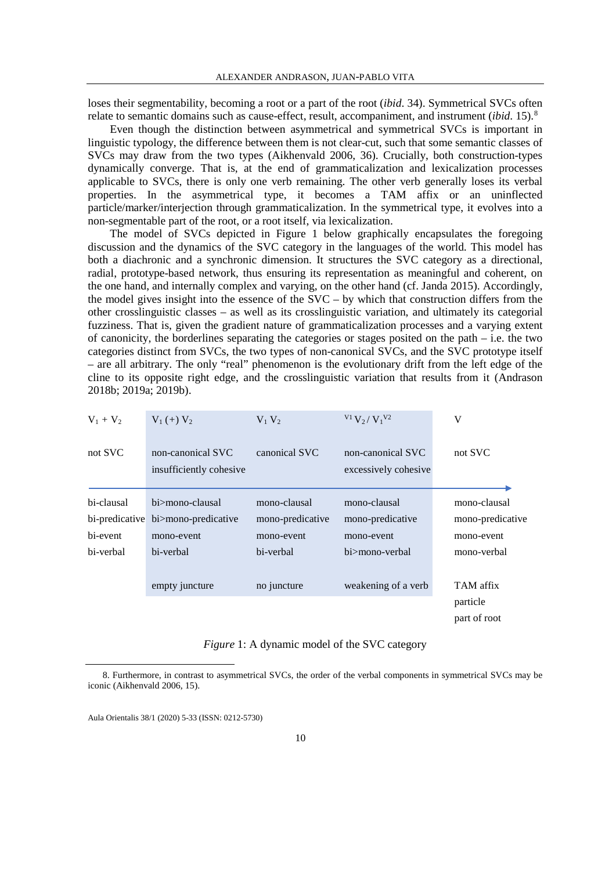loses their segmentability, becoming a root or a part of the root (*ibid*. 34). Symmetrical SVCs often relate to semantic domains such as cause-effect, result, accompaniment, and instrument (*ibid*. 15).[8](#page-5-0)

Even though the distinction between asymmetrical and symmetrical SVCs is important in linguistic typology, the difference between them is not clear-cut, such that some semantic classes of SVCs may draw from the two types (Aikhenvald 2006, 36). Crucially, both construction-types dynamically converge. That is, at the end of grammaticalization and lexicalization processes applicable to SVCs, there is only one verb remaining. The other verb generally loses its verbal properties. In the asymmetrical type, it becomes a TAM affix or an uninflected particle/marker/interjection through grammaticalization. In the symmetrical type, it evolves into a non-segmentable part of the root, or a root itself, via lexicalization.

The model of SVCs depicted in Figure 1 below graphically encapsulates the foregoing discussion and the dynamics of the SVC category in the languages of the world. This model has both a diachronic and a synchronic dimension. It structures the SVC category as a directional, radial, prototype-based network, thus ensuring its representation as meaningful and coherent, on the one hand, and internally complex and varying, on the other hand (cf. Janda 2015). Accordingly, the model gives insight into the essence of the SVC – by which that construction differs from the other crosslinguistic classes – as well as its crosslinguistic variation, and ultimately its categorial fuzziness. That is, given the gradient nature of grammaticalization processes and a varying extent of canonicity, the borderlines separating the categories or stages posited on the path – i.e. the two categories distinct from SVCs, the two types of non-canonical SVCs, and the SVC prototype itself – are all arbitrary. The only "real" phenomenon is the evolutionary drift from the left edge of the cline to its opposite right edge, and the crosslinguistic variation that results from it (Andrason 2018b; 2019a; 2019b).

| $V_1 + V_2$ | $V_1(+) V_2$                                 | $V_1 V_2$        | $V_1 V_2 / V_1 V_2$                       | V                |
|-------------|----------------------------------------------|------------------|-------------------------------------------|------------------|
| not SVC     | non-canonical SVC<br>insufficiently cohesive | canonical SVC    | non-canonical SVC<br>excessively cohesive | not SVC          |
| bi-clausal  | hi>mono-clausal                              | mono-clausal     | mono-clausal                              | mono-clausal     |
|             | bi-predicative bi>mono-predicative           | mono-predicative | mono-predicative                          | mono-predicative |
| bi-event    | mono-event                                   | mono-event       | mono-event                                | mono-event       |
| bi-verbal   | bi-verbal                                    | bi-verbal        | hi>mono-verbal                            | mono-verbal      |
|             |                                              |                  |                                           |                  |
|             | empty juncture                               | no juncture      | weakening of a verb                       | TAM affix        |
|             |                                              |                  |                                           | particle         |
|             |                                              |                  |                                           | part of root     |

*Figure* 1: A dynamic model of the SVC category

<span id="page-5-0"></span> <sup>8.</sup> Furthermore, in contrast to asymmetrical SVCs, the order of the verbal components in symmetrical SVCs may be iconic (Aikhenvald 2006, 15).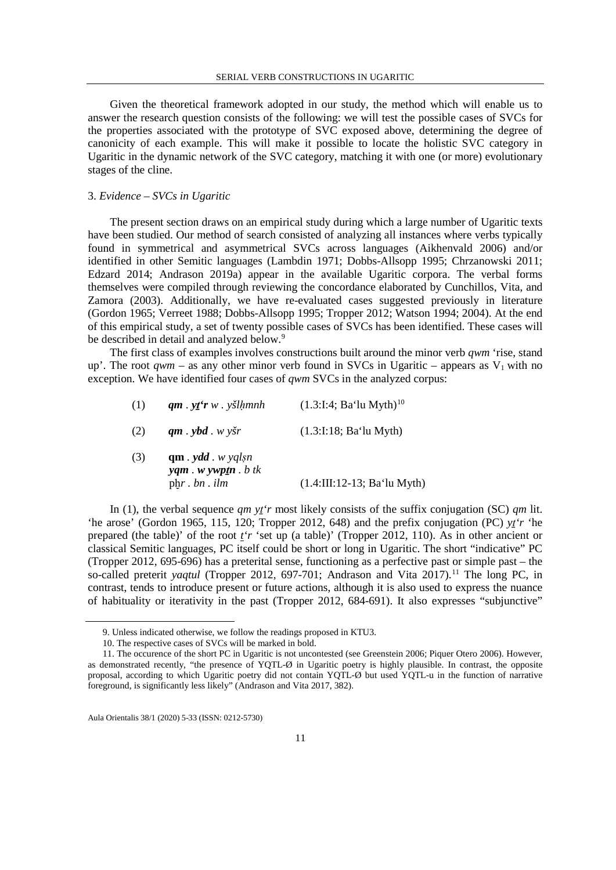Given the theoretical framework adopted in our study, the method which will enable us to answer the research question consists of the following: we will test the possible cases of SVCs for the properties associated with the prototype of SVC exposed above, determining the degree of canonicity of each example. This will make it possible to locate the holistic SVC category in Ugaritic in the dynamic network of the SVC category, matching it with one (or more) evolutionary stages of the cline.

## 3. *Evidence – SVCs in Ugaritic*

The present section draws on an empirical study during which a large number of Ugaritic texts have been studied. Our method of search consisted of analyzing all instances where verbs typically found in symmetrical and asymmetrical SVCs across languages (Aikhenvald 2006) and/or identified in other Semitic languages (Lambdin 1971; Dobbs-Allsopp 1995; Chrzanowski 2011; Edzard 2014; Andrason 2019a) appear in the available Ugaritic corpora. The verbal forms themselves were compiled through reviewing the concordance elaborated by Cunchillos, Vita, and Zamora (2003). Additionally, we have re-evaluated cases suggested previously in literature (Gordon 1965; Verreet 1988; Dobbs-Allsopp 1995; Tropper 2012; Watson 1994; 2004). At the end of this empirical study, a set of twenty possible cases of SVCs has been identified. These cases will be described in detail and analyzed below.<sup>[9](#page-6-0)</sup>

The first class of examples involves constructions built around the minor verb *qwm* 'rise, stand up'. The root *qwm* – as any other minor verb found in SVCs in Ugaritic – appears as  $V_1$  with no exception. We have identified four cases of *qwm* SVCs in the analyzed corpus:

| (1) | $qm \cdot y \cdot r w \cdot y \cdot \sinh n$                                            | $(1.3:1:4; Ba'lu Myth)^{10}$  |
|-----|-----------------------------------------------------------------------------------------|-------------------------------|
| (2) | $qm \cdot ybd \cdot w \cdot ysr$                                                        | (1.3:1:18; Ba'lu Myth)        |
| (3) | $qm$ . ydd. w yglsn<br>$\mathbf{y}$ am. w $\mathbf{y}$ wptn. b tk<br>$phr.$ $bn.$ $ilm$ | $(1.4:III:12-13; Ba'lu Myth)$ |

In (1), the verbal sequence *qm yṯ'r* most likely consists of the suffix conjugation (SC) *qm* lit. 'he arose' (Gordon 1965, 115, 120; Tropper 2012, 648) and the prefix conjugation (PC) *yṯ'r* 'he prepared (the table)' of the root *t'r* 'set up (a table)' (Tropper 2012, 110). As in other ancient or classical Semitic languages, PC itself could be short or long in Ugaritic. The short "indicative" PC (Tropper 2012, 695-696) has a preterital sense, functioning as a perfective past or simple past – the so-called preterit *yaqtul* (Tropper 2012, 697-701; Andrason and Vita 2017).<sup>[11](#page-6-2)</sup> The long PC, in contrast, tends to introduce present or future actions, although it is also used to express the nuance of habituality or iterativity in the past (Tropper 2012, 684-691). It also expresses "subjunctive"

 <sup>9.</sup> Unless indicated otherwise, we follow the readings proposed in KTU3.

<sup>10.</sup> The respective cases of SVCs will be marked in bold.

<span id="page-6-2"></span><span id="page-6-1"></span><span id="page-6-0"></span><sup>11.</sup> The occurence of the short PC in Ugaritic is not uncontested (see Greenstein 2006; Piquer Otero 2006). However, as demonstrated recently, "the presence of YQTL-Ø in Ugaritic poetry is highly plausible. In contrast, the opposite proposal, according to which Ugaritic poetry did not contain YQTL-Ø but used YQTL-u in the function of narrative foreground, is significantly less likely" (Andrason and Vita 2017, 382).

Aula Orientalis 38/1 (2020) 5-33 (ISSN: 0212-5730)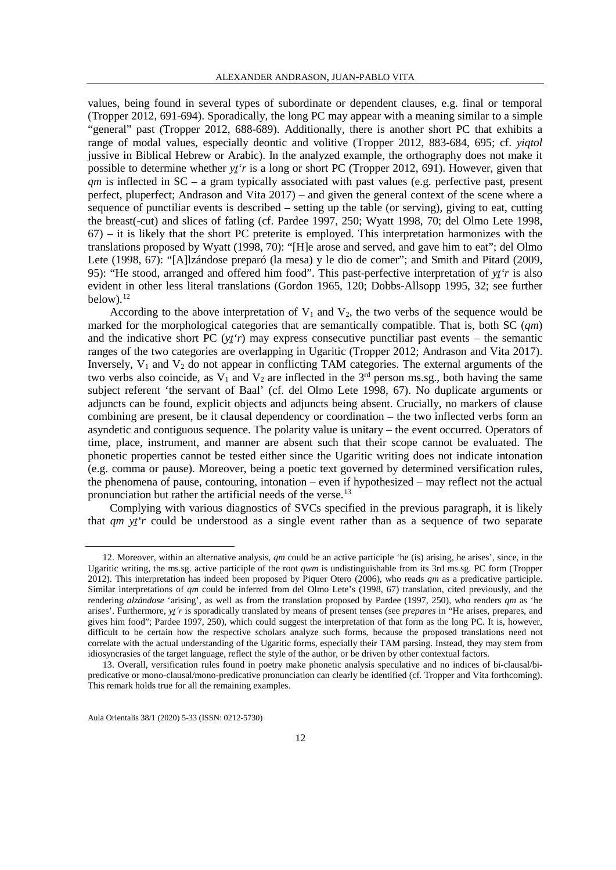values, being found in several types of subordinate or dependent clauses, e.g. final or temporal (Tropper 2012, 691-694). Sporadically, the long PC may appear with a meaning similar to a simple "general" past (Tropper 2012, 688-689). Additionally, there is another short PC that exhibits a range of modal values, especially deontic and volitive (Tropper 2012, 883-684, 695; cf. *yiqtol* jussive in Biblical Hebrew or Arabic). In the analyzed example, the orthography does not make it possible to determine whether *yṯ'r* is a long or short PC (Tropper 2012, 691). However, given that *qm* is inflected in SC – a gram typically associated with past values (e.g. perfective past, present perfect, pluperfect; Andrason and Vita 2017) – and given the general context of the scene where a sequence of punctiliar events is described – setting up the table (or serving), giving to eat, cutting the breast(-cut) and slices of fatling (cf. Pardee 1997, 250; Wyatt 1998, 70; del Olmo Lete 1998,  $67$ ) – it is likely that the short PC preterite is employed. This interpretation harmonizes with the translations proposed by Wyatt (1998, 70): "[H]e arose and served, and gave him to eat"; del Olmo Lete (1998, 67): "[A]lzándose preparó (la mesa) y le dio de comer"; and Smith and Pitard (2009, 95): "He stood, arranged and offered him food". This past-perfective interpretation of *yṯ'r* is also evident in other less literal translations (Gordon 1965, 120; Dobbs-Allsopp 1995, 32; see further below). $12$ 

According to the above interpretation of  $V_1$  and  $V_2$ , the two verbs of the sequence would be marked for the morphological categories that are semantically compatible. That is, both SC (*qm*) and the indicative short PC  $(y t r)$  may express consecutive punctiliar past events – the semantic ranges of the two categories are overlapping in Ugaritic (Tropper 2012; Andrason and Vita 2017). Inversely,  $V_1$  and  $V_2$  do not appear in conflicting TAM categories. The external arguments of the two verbs also coincide, as  $V_1$  and  $V_2$  are inflected in the 3<sup>rd</sup> person ms.sg., both having the same subject referent 'the servant of Baal' (cf. del Olmo Lete 1998, 67). No duplicate arguments or adjuncts can be found, explicit objects and adjuncts being absent. Crucially, no markers of clause combining are present, be it clausal dependency or coordination – the two inflected verbs form an asyndetic and contiguous sequence. The polarity value is unitary – the event occurred. Operators of time, place, instrument, and manner are absent such that their scope cannot be evaluated. The phonetic properties cannot be tested either since the Ugaritic writing does not indicate intonation (e.g. comma or pause). Moreover, being a poetic text governed by determined versification rules, the phenomena of pause, contouring, intonation – even if hypothesized – may reflect not the actual pronunciation but rather the artificial needs of the verse.<sup>[13](#page-7-1)</sup>

Complying with various diagnostics of SVCs specified in the previous paragraph, it is likely that *qm yṯ'r* could be understood as a single event rather than as a sequence of two separate

<span id="page-7-0"></span> <sup>12.</sup> Moreover, within an alternative analysis, *qm* could be an active participle 'he (is) arising, he arises', since, in the Ugaritic writing, the ms.sg. active participle of the root *qwm* is undistinguishable from its 3rd ms.sg. PC form (Tropper 2012). This interpretation has indeed been proposed by Piquer Otero (2006), who reads *qm* as a predicative participle. Similar interpretations of *qm* could be inferred from del Olmo Lete's (1998, 67) translation, cited previously, and the rendering *alzándose* 'arising', as well as from the translation proposed by Pardee (1997, 250), who renders *qm* as 'he arises'. Furthermore, *yṯ'r* is sporadically translated by means of present tenses (see *prepares* in "He arises, prepares, and gives him food"; Pardee 1997, 250), which could suggest the interpretation of that form as the long PC. It is, however, difficult to be certain how the respective scholars analyze such forms, because the proposed translations need not correlate with the actual understanding of the Ugaritic forms, especially their TAM parsing. Instead, they may stem from idiosyncrasies of the target language, reflect the style of the author, or be driven by other contextual factors.

<span id="page-7-1"></span><sup>13.</sup> Overall, versification rules found in poetry make phonetic analysis speculative and no indices of bi-clausal/bipredicative or mono-clausal/mono-predicative pronunciation can clearly be identified (cf. Tropper and Vita forthcoming). This remark holds true for all the remaining examples.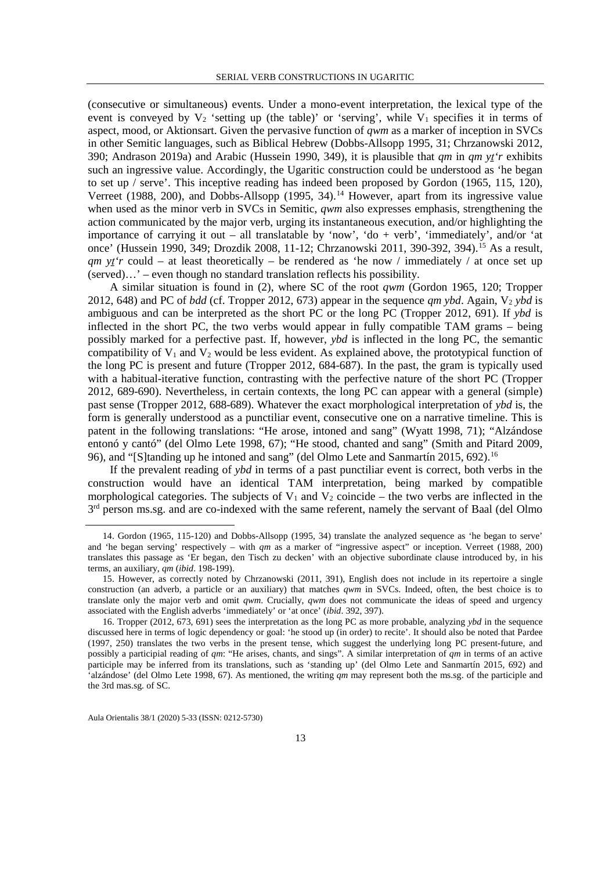(consecutive or simultaneous) events. Under a mono-event interpretation, the lexical type of the event is conveyed by  $V_2$  'setting up (the table)' or 'serving', while  $V_1$  specifies it in terms of aspect, mood, or Aktionsart. Given the pervasive function of *qwm* as a marker of inception in SVCs in other Semitic languages, such as Biblical Hebrew (Dobbs-Allsopp 1995, 31; Chrzanowski 2012, 390; Andrason 2019a) and Arabic (Hussein 1990, 349), it is plausible that *qm* in *qm yṯ'r* exhibits such an ingressive value. Accordingly, the Ugaritic construction could be understood as 'he began to set up / serve'. This inceptive reading has indeed been proposed by Gordon (1965, 115, 120), Verreet (1988, 200), and Dobbs-Allsopp (1995, 34).<sup>[14](#page-8-0)</sup> However, apart from its ingressive value when used as the minor verb in SVCs in Semitic, *qwm* also expresses emphasis, strengthening the action communicated by the major verb, urging its instantaneous execution, and/or highlighting the importance of carrying it out – all translatable by 'now', 'do + verb', 'immediately', and/or 'at once' (Hussein 1990, 349; Drozdik 2008, 11-12; Chrzanowski 2011, 390-392, 394).<sup>[15](#page-8-1)</sup> As a result, *qm y<sup>t</sup>* could – at least theoretically – be rendered as 'he now / immediately / at once set up (served)…' – even though no standard translation reflects his possibility.

A similar situation is found in (2), where SC of the root *qwm* (Gordon 1965, 120; Tropper 2012, 648) and PC of *bdd* (cf. Tropper 2012, 673) appear in the sequence *qm ybd*. Again,  $V_2$  *ybd* is ambiguous and can be interpreted as the short PC or the long PC (Tropper 2012, 691). If *ybd* is inflected in the short PC, the two verbs would appear in fully compatible TAM grams – being possibly marked for a perfective past. If, however, *ybd* is inflected in the long PC, the semantic compatibility of  $V_1$  and  $V_2$  would be less evident. As explained above, the prototypical function of the long PC is present and future (Tropper 2012, 684-687). In the past, the gram is typically used with a habitual-iterative function, contrasting with the perfective nature of the short PC (Tropper 2012, 689-690). Nevertheless, in certain contexts, the long PC can appear with a general (simple) past sense (Tropper 2012, 688-689). Whatever the exact morphological interpretation of *ybd* is, the form is generally understood as a punctiliar event, consecutive one on a narrative timeline. This is patent in the following translations: "He arose, intoned and sang" (Wyatt 1998, 71); "Alzándose entonó y cantó" (del Olmo Lete 1998, 67); "He stood, chanted and sang" (Smith and Pitard 2009, 96), and "[S]tanding up he intoned and sang" (del Olmo Lete and Sanmartín 2015, 692).<sup>[16](#page-8-2)</sup>

If the prevalent reading of *ybd* in terms of a past punctiliar event is correct, both verbs in the construction would have an identical TAM interpretation, being marked by compatible morphological categories. The subjects of  $V_1$  and  $V_2$  coincide – the two verbs are inflected in the 3<sup>rd</sup> person ms.sg. and are co-indexed with the same referent, namely the servant of Baal (del Olmo

<span id="page-8-0"></span> <sup>14.</sup> Gordon (1965, 115-120) and Dobbs-Allsopp (1995, 34) translate the analyzed sequence as 'he began to serve' and 'he began serving' respectively – with *qm* as a marker of "ingressive aspect" or inception. Verreet (1988, 200) translates this passage as 'Er began, den Tisch zu decken' with an objective subordinate clause introduced by, in his terms, an auxiliary, *qm* (*ibid*. 198-199).

<span id="page-8-1"></span><sup>15.</sup> However, as correctly noted by Chrzanowski (2011, 391), English does not include in its repertoire a single construction (an adverb, a particle or an auxiliary) that matches *qwm* in SVCs. Indeed, often, the best choice is to translate only the major verb and omit *qwm*. Crucially, *qwm* does not communicate the ideas of speed and urgency associated with the English adverbs 'immediately' or 'at once' (*ibid*. 392, 397).

<span id="page-8-2"></span><sup>16.</sup> Tropper (2012, 673, 691) sees the interpretation as the long PC as more probable, analyzing *ybd* in the sequence discussed here in terms of logic dependency or goal: 'he stood up (in order) to recite'. It should also be noted that Pardee (1997, 250) translates the two verbs in the present tense, which suggest the underlying long PC present-future, and possibly a participial reading of *qm*: "He arises, chants, and sings". A similar interpretation of *qm* in terms of an active participle may be inferred from its translations, such as 'standing up' (del Olmo Lete and Sanmartín 2015, 692) and 'alzándose' (del Olmo Lete 1998, 67). As mentioned, the writing *qm* may represent both the ms.sg. of the participle and the 3rd mas.sg. of SC.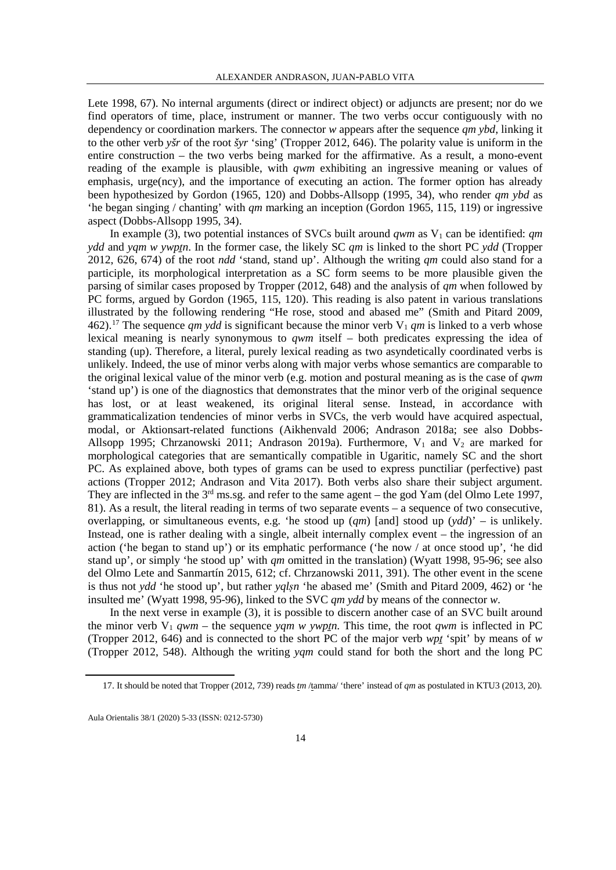Lete 1998, 67). No internal arguments (direct or indirect object) or adjuncts are present; nor do we find operators of time, place, instrument or manner. The two verbs occur contiguously with no dependency or coordination markers. The connector *w* appears after the sequence *qm ybd*, linking it to the other verb *yšr* of the root *šyr* 'sing' (Tropper 2012, 646). The polarity value is uniform in the entire construction – the two verbs being marked for the affirmative. As a result, a mono-event reading of the example is plausible, with *qwm* exhibiting an ingressive meaning or values of emphasis, urge(ncy), and the importance of executing an action. The former option has already been hypothesized by Gordon (1965, 120) and Dobbs-Allsopp (1995, 34), who render *qm ybd* as 'he began singing / chanting' with *qm* marking an inception (Gordon 1965, 115, 119) or ingressive aspect (Dobbs-Allsopp 1995, 34).

In example (3), two potential instances of SVCs built around *qwm* as  $V_1$  can be identified: *qm ydd* and *yam w ywptn*. In the former case, the likely SC *am* is linked to the short PC *ydd* (Tropper 2012, 626, 674) of the root *ndd* 'stand, stand up'. Although the writing *qm* could also stand for a participle, its morphological interpretation as a SC form seems to be more plausible given the parsing of similar cases proposed by Tropper (2012, 648) and the analysis of *qm* when followed by PC forms, argued by Gordon (1965, 115, 120). This reading is also patent in various translations illustrated by the following rendering "He rose, stood and abased me" (Smith and Pitard 2009, 462).<sup>17</sup> The sequence *qm ydd* is significant because the minor verb  $V_1$  *qm* is linked to a verb whose lexical meaning is nearly synonymous to *qwm* itself – both predicates expressing the idea of standing (up). Therefore, a literal, purely lexical reading as two asyndetically coordinated verbs is unlikely. Indeed, the use of minor verbs along with major verbs whose semantics are comparable to the original lexical value of the minor verb (e.g. motion and postural meaning as is the case of *qwm*  'stand up') is one of the diagnostics that demonstrates that the minor verb of the original sequence has lost, or at least weakened, its original literal sense. Instead, in accordance with grammaticalization tendencies of minor verbs in SVCs, the verb would have acquired aspectual, modal, or Aktionsart-related functions (Aikhenvald 2006; Andrason 2018a; see also Dobbs-Allsopp 1995; Chrzanowski 2011; Andrason 2019a). Furthermore,  $V_1$  and  $V_2$  are marked for morphological categories that are semantically compatible in Ugaritic, namely SC and the short PC. As explained above, both types of grams can be used to express punctiliar (perfective) past actions (Tropper 2012; Andrason and Vita 2017). Both verbs also share their subject argument. They are inflected in the 3<sup>rd</sup> ms.sg. and refer to the same agent – the god Yam (del Olmo Lete 1997, 81). As a result, the literal reading in terms of two separate events – a sequence of two consecutive, overlapping, or simultaneous events, e.g. 'he stood up (*qm*) [and] stood up (*ydd*)' – is unlikely. Instead, one is rather dealing with a single, albeit internally complex event – the ingression of an action ('he began to stand up') or its emphatic performance ('he now / at once stood up', 'he did stand up', or simply 'he stood up' with *qm* omitted in the translation) (Wyatt 1998, 95-96; see also del Olmo Lete and Sanmartín 2015, 612; cf. Chrzanowski 2011, 391). The other event in the scene is thus not *ydd* 'he stood up', but rather *yqlṣn* 'he abased me' (Smith and Pitard 2009, 462) or 'he insulted me' (Wyatt 1998, 95-96), linked to the SVC *qm ydd* by means of the connector *w*.

In the next verse in example (3), it is possible to discern another case of an SVC built around the minor verb  $V_1$  *qwm* – the sequence *yam w ywptn*. This time, the root *qwm* is inflected in PC (Tropper 2012, 646) and is connected to the short PC of the major verb *wpṯ* 'spit' by means of *w* (Tropper 2012, 548). Although the writing *yqm* could stand for both the short and the long PC

 <sup>17.</sup> It should be noted that Tropper (2012, 739) reads *tm* /tamma/ 'there' instead of *qm* as postulated in KTU3 (2013, 20).

<span id="page-9-0"></span>Aula Orientalis 38/1 (2020) 5-33 (ISSN: 0212-5730)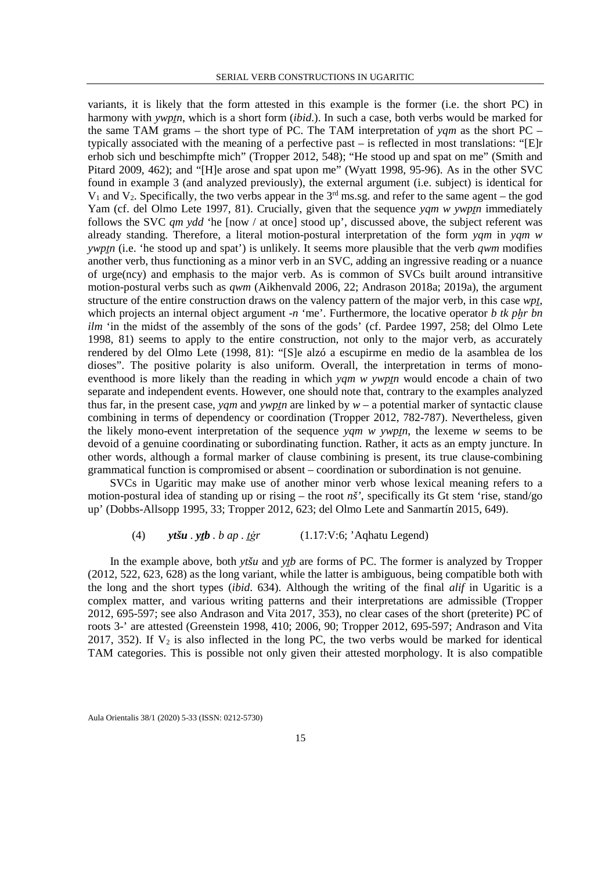variants, it is likely that the form attested in this example is the former (i.e. the short PC) in harmony with *ywptn*, which is a short form *(ibid.)*. In such a case, both verbs would be marked for the same TAM grams – the short type of PC. The TAM interpretation of *yqm* as the short PC – typically associated with the meaning of a perfective past – is reflected in most translations: "[E]r erhob sich und beschimpfte mich" (Tropper 2012, 548); "He stood up and spat on me" (Smith and Pitard 2009, 462); and "[H]e arose and spat upon me" (Wyatt 1998, 95-96). As in the other SVC found in example 3 (and analyzed previously), the external argument (i.e. subject) is identical for  $V_1$  and  $V_2$ . Specifically, the two verbs appear in the 3<sup>rd</sup> ms.sg. and refer to the same agent – the god Yam (cf. del Olmo Lete 1997, 81). Crucially, given that the sequence *yam w ywptn* immediately follows the SVC *qm ydd* 'he [now / at once] stood up', discussed above, the subject referent was already standing. Therefore, a literal motion-postural interpretation of the form *yqm* in *yqm w ywp<sub>In</sub>* (i.e. 'he stood up and spat') is unlikely. It seems more plausible that the verb *qwm* modifies another verb, thus functioning as a minor verb in an SVC, adding an ingressive reading or a nuance of urge(ncy) and emphasis to the major verb. As is common of SVCs built around intransitive motion-postural verbs such as *qwm* (Aikhenvald 2006, 22; Andrason 2018a; 2019a), the argument structure of the entire construction draws on the valency pattern of the major verb, in this case *wpṯ*, which projects an internal object argument -*n* 'me'. Furthermore, the locative operator *b tk phr bn ilm* 'in the midst of the assembly of the sons of the gods' (cf. Pardee 1997, 258; del Olmo Lete 1998, 81) seems to apply to the entire construction, not only to the major verb, as accurately rendered by del Olmo Lete (1998, 81): "[S]e alzó a escupirme en medio de la asamblea de los dioses". The positive polarity is also uniform. Overall, the interpretation in terms of monoeventhood is more likely than the reading in which *yqm w ywptn* would encode a chain of two separate and independent events. However, one should note that, contrary to the examples analyzed thus far, in the present case, *yqm* and *ywptn* are linked by  $w - a$  potential marker of syntactic clause combining in terms of dependency or coordination (Tropper 2012, 782-787). Nevertheless, given the likely mono-event interpretation of the sequence *yqm w ywpṯn*, the lexeme *w* seems to be devoid of a genuine coordinating or subordinating function. Rather, it acts as an empty juncture. In other words, although a formal marker of clause combining is present, its true clause-combining grammatical function is compromised or absent – coordination or subordination is not genuine.

SVCs in Ugaritic may make use of another minor verb whose lexical meaning refers to a motion-postural idea of standing up or rising – the root *nš'*, specifically its Gt stem 'rise, stand/go up' (Dobbs-Allsopp 1995, 33; Tropper 2012, 623; del Olmo Lete and Sanmartín 2015, 649).

## (4) *ytšu . yṯb . b ap . ṯġr* (1.17:V:6; 'Aqhatu Legend)

In the example above, both *ytšu* and *ytb* are forms of PC. The former is analyzed by Tropper (2012, 522, 623, 628) as the long variant, while the latter is ambiguous, being compatible both with the long and the short types (*ibid*. 634). Although the writing of the final *alif* in Ugaritic is a complex matter, and various writing patterns and their interpretations are admissible (Tropper 2012, 695-597; see also Andrason and Vita 2017, 353), no clear cases of the short (preterite) PC of roots 3-' are attested (Greenstein 1998, 410; 2006, 90; Tropper 2012, 695-597; Andrason and Vita 2017, 352). If  $V_2$  is also inflected in the long PC, the two verbs would be marked for identical TAM categories. This is possible not only given their attested morphology. It is also compatible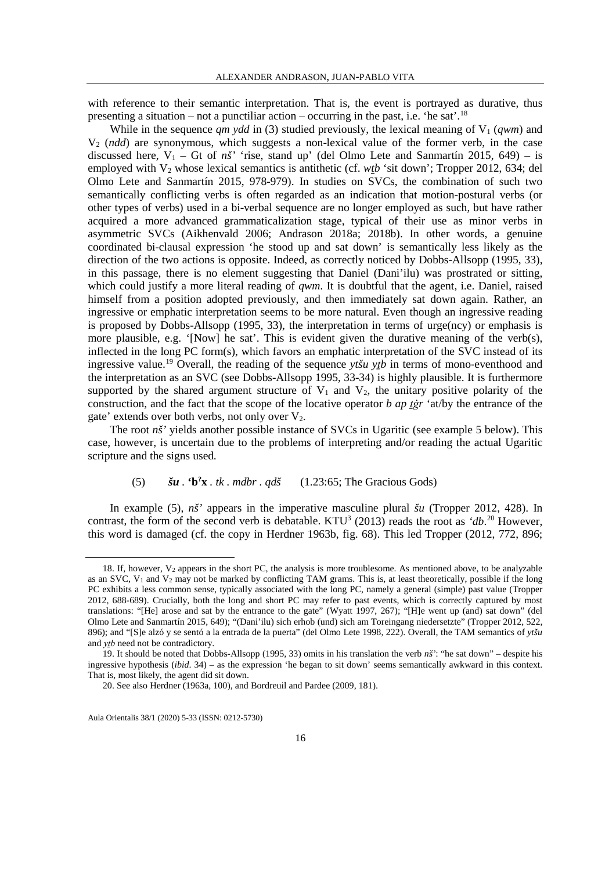with reference to their semantic interpretation. That is, the event is portrayed as durative, thus presenting a situation – not a punctiliar action – occurring in the past, i.e. 'he sat'.<sup>[18](#page-11-0)</sup>

While in the sequence  $qm ydd$  in (3) studied previously, the lexical meaning of  $V_1$  (*qwm*) and V2 (*ndd*) are synonymous, which suggests a non-lexical value of the former verb, in the case discussed here,  $V_1$  – Gt of *nš'* 'rise, stand up' (del Olmo Lete and Sanmartín 2015, 649) – is employed with V<sub>2</sub> whose lexical semantics is antithetic (cf. *wtb* 'sit down'; Tropper 2012, 634; del Olmo Lete and Sanmartín 2015, 978-979). In studies on SVCs, the combination of such two semantically conflicting verbs is often regarded as an indication that motion-postural verbs (or other types of verbs) used in a bi-verbal sequence are no longer employed as such, but have rather acquired a more advanced grammaticalization stage, typical of their use as minor verbs in asymmetric SVCs (Aikhenvald 2006; Andrason 2018a; 2018b). In other words, a genuine coordinated bi-clausal expression 'he stood up and sat down' is semantically less likely as the direction of the two actions is opposite. Indeed, as correctly noticed by Dobbs-Allsopp (1995, 33), in this passage, there is no element suggesting that Daniel (Dani'ilu) was prostrated or sitting, which could justify a more literal reading of *qwm*. It is doubtful that the agent, i.e. Daniel, raised himself from a position adopted previously, and then immediately sat down again. Rather, an ingressive or emphatic interpretation seems to be more natural. Even though an ingressive reading is proposed by Dobbs-Allsopp (1995, 33), the interpretation in terms of urge(ncy) or emphasis is more plausible, e.g. '[Now] he sat'. This is evident given the durative meaning of the verb(s), inflected in the long PC form(s), which favors an emphatic interpretation of the SVC instead of its ingressive value.[19](#page-11-1) Overall, the reading of the sequence *ytšu yṯb* in terms of mono-eventhood and the interpretation as an SVC (see Dobbs-Allsopp 1995, 33-34) is highly plausible. It is furthermore supported by the shared argument structure of  $V_1$  and  $V_2$ , the unitary positive polarity of the construction, and the fact that the scope of the locative operator *b ap ṯġr* 'at/by the entrance of the gate' extends over both verbs, not only over  $V_2$ .

The root *nš*' yields another possible instance of SVCs in Ugaritic (see example 5 below). This case, however, is uncertain due to the problems of interpreting and/or reading the actual Ugaritic scripture and the signs used.

#### (5)  $\check{\mathbf{s}}\mathbf{u} \cdot \mathbf{b}^2\mathbf{x} \cdot tk \cdot mdbr \cdot qd\check{\mathbf{s}}$  $(1.23:65;$  The Gracious Gods)

In example (5), *nš'* appears in the imperative masculine plural *šu* (Tropper 2012, 428). In contrast, the form of the second verb is debatable. KTU<sup>3</sup> ([20](#page-11-2)13) reads the root as *'db*.<sup>20</sup> However, this word is damaged (cf. the copy in Herdner 1963b, fig. 68). This led Tropper (2012, 772, 896;

<span id="page-11-0"></span><sup>18.</sup> If, however,  $V_2$  appears in the short PC, the analysis is more troublesome. As mentioned above, to be analyzable as an SVC,  $V_1$  and  $V_2$  may not be marked by conflicting TAM grams. This is, at least theoretically, possible if the long PC exhibits a less common sense, typically associated with the long PC, namely a general (simple) past value (Tropper 2012, 688-689). Crucially, both the long and short PC may refer to past events, which is correctly captured by most translations: "[He] arose and sat by the entrance to the gate" (Wyatt 1997, 267); "[H]e went up (and) sat down" (del Olmo Lete and Sanmartín 2015, 649); "(Dani'ilu) sich erhob (und) sich am Toreingang niedersetzte" (Tropper 2012, 522, 896); and "[S]e alzó y se sentó a la entrada de la puerta" (del Olmo Lete 1998, 222). Overall, the TAM semantics of *ytšu*  and *ytb* need not be contradictory.

<span id="page-11-2"></span><span id="page-11-1"></span><sup>19.</sup> It should be noted that Dobbs-Allsopp (1995, 33) omits in his translation the verb *nš'*: "he sat down" – despite his ingressive hypothesis (*ibid*. 34) – as the expression 'he began to sit down' seems semantically awkward in this context. That is, most likely, the agent did sit down.

<sup>20.</sup> See also Herdner (1963a, 100), and Bordreuil and Pardee (2009, 181).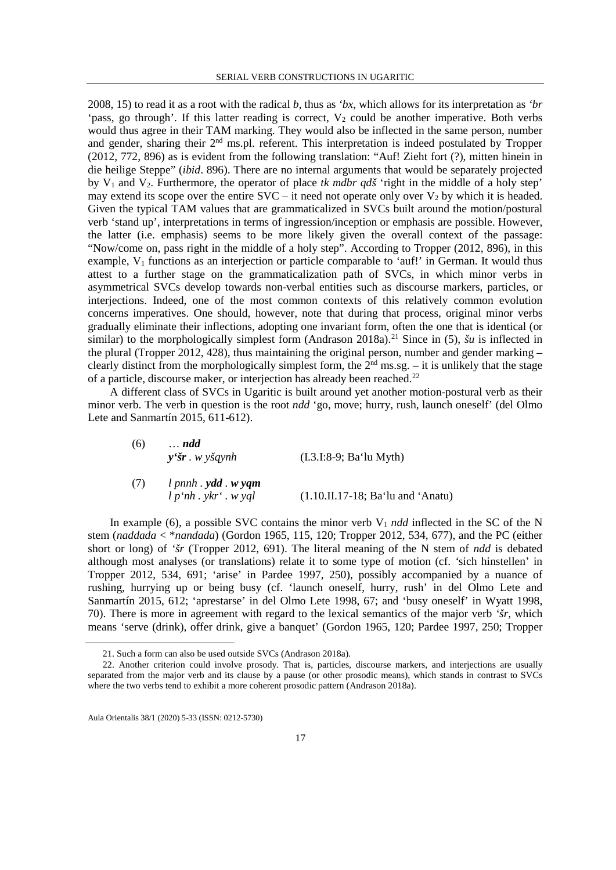2008, 15) to read it as a root with the radical *b*, thus as *'bx*, which allows for its interpretation as *'br*  'pass, go through'. If this latter reading is correct,  $V_2$  could be another imperative. Both verbs would thus agree in their TAM marking. They would also be inflected in the same person, number and gender, sharing their 2nd ms.pl. referent. This interpretation is indeed postulated by Tropper (2012, 772, 896) as is evident from the following translation: "Auf! Zieht fort (?), mitten hinein in die heilige Steppe" (*ibid*. 896). There are no internal arguments that would be separately projected by V1 and V2. Furthermore, the operator of place *tk mdbr qdš* 'right in the middle of a holy step' may extend its scope over the entire  $SVC - it$  need not operate only over  $V_2$  by which it is headed. Given the typical TAM values that are grammaticalized in SVCs built around the motion/postural verb 'stand up', interpretations in terms of ingression/inception or emphasis are possible. However, the latter (i.e. emphasis) seems to be more likely given the overall context of the passage: "Now/come on, pass right in the middle of a holy step". According to Tropper (2012, 896), in this example,  $V_1$  functions as an interjection or particle comparable to 'auf!' in German. It would thus attest to a further stage on the grammaticalization path of SVCs, in which minor verbs in asymmetrical SVCs develop towards non-verbal entities such as discourse markers, particles, or interjections. Indeed, one of the most common contexts of this relatively common evolution concerns imperatives. One should, however, note that during that process, original minor verbs gradually eliminate their inflections, adopting one invariant form, often the one that is identical (or similar) to the morphologically simplest form (Andrason 2018a).<sup>21</sup> Since in (5), *šu* is inflected in the plural (Tropper 2012, 428), thus maintaining the original person, number and gender marking – clearly distinct from the morphologically simplest form, the  $2<sup>nd</sup>$  ms.sg. – it is unlikely that the stage of a particle, discourse maker, or interjection has already been reached.[22](#page-12-1)

A different class of SVCs in Ugaritic is built around yet another motion-postural verb as their minor verb. The verb in question is the root *ndd* 'go, move; hurry, rush, launch oneself' (del Olmo Lete and Sanmartín 2015, 611-612).

| (6) | $\ldots$ ndd<br>$y'$ šr. w yšgynh               | $(I.3.I:8-9; Ba'lu Myth)$           |
|-----|-------------------------------------------------|-------------------------------------|
| (7) | $l$ pnnh $y$ dd $w$ yqm<br>l p'nh. ykr' . w yql | $(1.10.II.17-18; Ba'lu and 'Anatu)$ |

In example (6), a possible SVC contains the minor verb  $V_1$  *ndd* inflected in the SC of the N stem (*naddada* < \**nandada*) (Gordon 1965, 115, 120; Tropper 2012, 534, 677), and the PC (either short or long) of *'šr* (Tropper 2012, 691). The literal meaning of the N stem of *ndd* is debated although most analyses (or translations) relate it to some type of motion (cf. *'*sich hinstellen' in Tropper 2012, 534, 691; 'arise' in Pardee 1997, 250), possibly accompanied by a nuance of rushing, hurrying up or being busy (cf. 'launch oneself, hurry, rush' in del Olmo Lete and Sanmartín 2015, 612; 'aprestarse' in del Olmo Lete 1998, 67; and 'busy oneself' in Wyatt 1998, 70). There is more in agreement with regard to the lexical semantics of the major verb *'šr*, which means 'serve (drink), offer drink, give a banquet' (Gordon 1965, 120; Pardee 1997, 250; Tropper

 <sup>21.</sup> Such a form can also be used outside SVCs (Andrason 2018a).

<span id="page-12-1"></span><span id="page-12-0"></span><sup>22.</sup> Another criterion could involve prosody. That is, particles, discourse markers, and interjections are usually separated from the major verb and its clause by a pause (or other prosodic means), which stands in contrast to SVCs where the two verbs tend to exhibit a more coherent prosodic pattern (Andrason 2018a).

Aula Orientalis 38/1 (2020) 5-33 (ISSN: 0212-5730)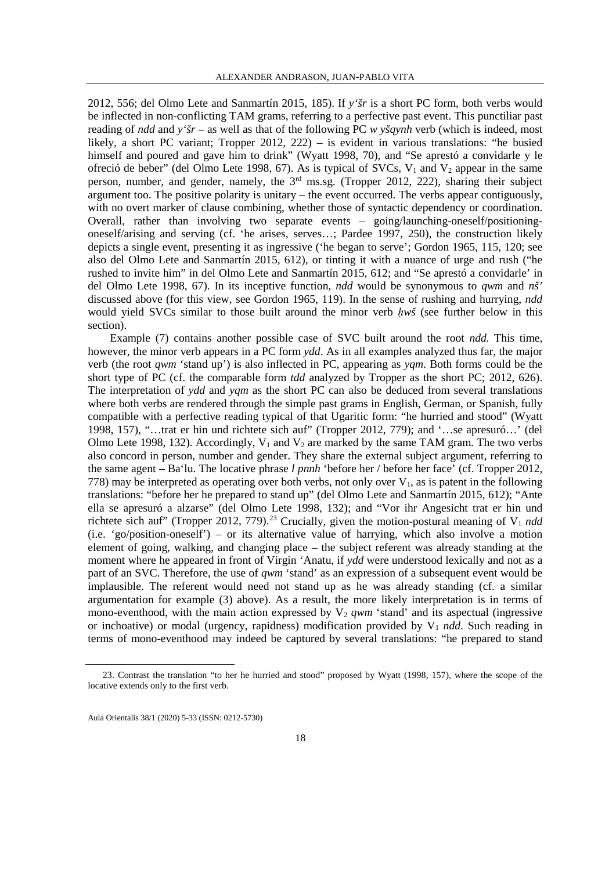2012, 556; del Olmo Lete and Sanmartín 2015, 185). If *y'šr* is a short PC form, both verbs would be inflected in non-conflicting TAM grams, referring to a perfective past event. This punctiliar past reading of *ndd* and *y'šr* – as well as that of the following PC *w yšqynh* verb (which is indeed, most likely, a short PC variant; Tropper 2012, 222) – is evident in various translations: "he busied himself and poured and gave him to drink" (Wyatt 1998, 70), and "Se aprestó a convidarle y le ofreció de beber" (del Olmo Lete 1998, 67). As is typical of SVCs,  $V_1$  and  $V_2$  appear in the same person, number, and gender, namely, the 3rd ms.sg. (Tropper 2012, 222), sharing their subject argument too. The positive polarity is unitary – the event occurred. The verbs appear contiguously, with no overt marker of clause combining, whether those of syntactic dependency or coordination. Overall, rather than involving two separate events – going/launching-oneself/positioningoneself/arising and serving (cf. 'he arises, serves…; Pardee 1997, 250), the construction likely depicts a single event, presenting it as ingressive ('he began to serve'; Gordon 1965, 115, 120; see also del Olmo Lete and Sanmartín 2015, 612), or tinting it with a nuance of urge and rush ("he rushed to invite him" in del Olmo Lete and Sanmartín 2015, 612; and "Se aprestó a convidarle' in del Olmo Lete 1998, 67). In its inceptive function, *ndd* would be synonymous to *qwm* and *nš'* discussed above (for this view, see Gordon 1965, 119). In the sense of rushing and hurrying, *ndd* would yield SVCs similar to those built around the minor verb *hwš* (see further below in this section).

Example (7) contains another possible case of SVC built around the root *ndd*. This time, however, the minor verb appears in a PC form *ydd*. As in all examples analyzed thus far, the major verb (the root *qwm* 'stand up') is also inflected in PC, appearing as *yqm*. Both forms could be the short type of PC (cf. the comparable form *tdd* analyzed by Tropper as the short PC; 2012, 626). The interpretation of *ydd* and *yqm* as the short PC can also be deduced from several translations where both verbs are rendered through the simple past grams in English, German, or Spanish, fully compatible with a perfective reading typical of that Ugaritic form: "he hurried and stood" (Wyatt 1998, 157), "…trat er hin und richtete sich auf" (Tropper 2012, 779); and '…se apresuró…' (del Olmo Lete 1998, 132). Accordingly,  $V_1$  and  $V_2$  are marked by the same TAM gram. The two verbs also concord in person, number and gender. They share the external subject argument, referring to the same agent – Ba'lu. The locative phrase *l pnnh* 'before her / before her face' (cf. Tropper 2012, 778) may be interpreted as operating over both verbs, not only over  $V_1$ , as is patent in the following translations: "before her he prepared to stand up" (del Olmo Lete and Sanmartín 2015, 612); "Ante ella se apresuró a alzarse" (del Olmo Lete 1998, 132); and "Vor ihr Angesicht trat er hin und richtete sich auf" (Tropper 2012, 779).<sup>[23](#page-13-0)</sup> Crucially, given the motion-postural meaning of V<sub>1</sub> *ndd* (i.e. 'go/position-oneself') – or its alternative value of harrying, which also involve a motion element of going, walking, and changing place – the subject referent was already standing at the moment where he appeared in front of Virgin 'Anatu, if *ydd* were understood lexically and not as a part of an SVC. Therefore, the use of *qwm* 'stand' as an expression of a subsequent event would be implausible. The referent would need not stand up as he was already standing (cf. a similar argumentation for example (3) above). As a result, the more likely interpretation is in terms of mono-eventhood, with the main action expressed by  $V_2$  *qwm* 'stand' and its aspectual (ingressive or inchoative) or modal (urgency, rapidness) modification provided by  $V_1$  *ndd*. Such reading in terms of mono-eventhood may indeed be captured by several translations: "he prepared to stand

<span id="page-13-0"></span> <sup>23.</sup> Contrast the translation "to her he hurried and stood" proposed by Wyatt (1998, 157), where the scope of the locative extends only to the first verb.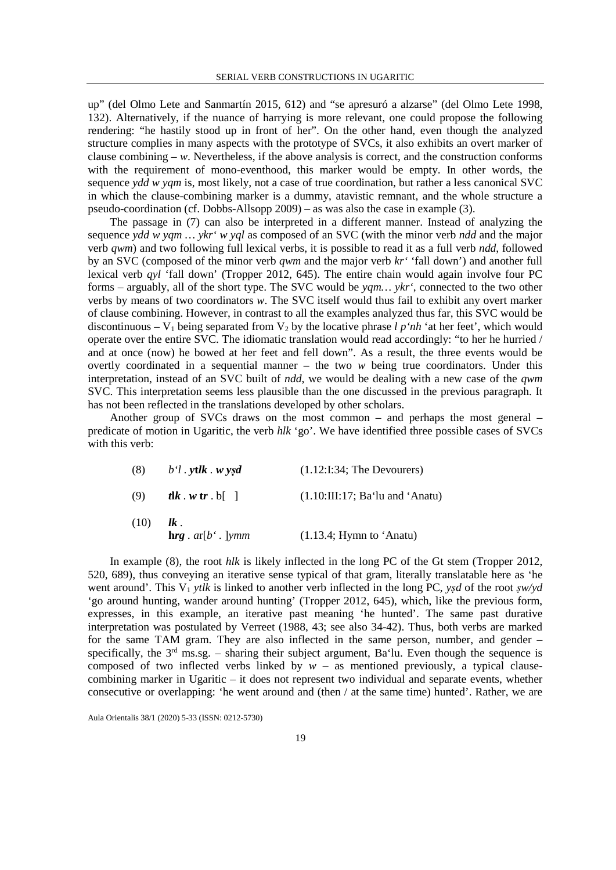up" (del Olmo Lete and Sanmartín 2015, 612) and "se apresuró a alzarse" (del Olmo Lete 1998, 132). Alternatively, if the nuance of harrying is more relevant, one could propose the following rendering: "he hastily stood up in front of her". On the other hand, even though the analyzed structure complies in many aspects with the prototype of SVCs, it also exhibits an overt marker of clause combining  $-w$ . Nevertheless, if the above analysis is correct, and the construction conforms with the requirement of mono-eventhood, this marker would be empty. In other words, the sequence *ydd w yqm* is, most likely, not a case of true coordination, but rather a less canonical SVC in which the clause-combining marker is a dummy, atavistic remnant, and the whole structure a pseudo-coordination (cf. Dobbs-Allsopp 2009) – as was also the case in example (3).

The passage in (7) can also be interpreted in a different manner. Instead of analyzing the sequence *ydd w yqm … ykr' w yql* as composed of an SVC (with the minor verb *ndd* and the major verb *qwm*) and two following full lexical verbs, it is possible to read it as a full verb *ndd*, followed by an SVC (composed of the minor verb *qwm* and the major verb *kr'* 'fall down') and another full lexical verb *qyl* 'fall down' (Tropper 2012, 645). The entire chain would again involve four PC forms – arguably, all of the short type. The SVC would be *yqm… ykr'*, connected to the two other verbs by means of two coordinators *w*. The SVC itself would thus fail to exhibit any overt marker of clause combining. However, in contrast to all the examples analyzed thus far, this SVC would be discontinuous –  $V_1$  being separated from  $V_2$  by the locative phrase *l p'nh'* at her feet', which would operate over the entire SVC. The idiomatic translation would read accordingly: "to her he hurried / and at once (now) he bowed at her feet and fell down". As a result, the three events would be overtly coordinated in a sequential manner – the two *w* being true coordinators. Under this interpretation, instead of an SVC built of *ndd*, we would be dealing with a new case of the *qwm*  SVC. This interpretation seems less plausible than the one discussed in the previous paragraph. It has not been reflected in the translations developed by other scholars.

Another group of SVCs draws on the most common – and perhaps the most general – predicate of motion in Ugaritic, the verb *hlk* 'go'. We have identified three possible cases of SVCs with this verb:

| (8)  | $b'l$ . ytlk. w ysd                             | $(1.12:1:34;$ The Devourers)    |
|------|-------------------------------------------------|---------------------------------|
| (9)  | $tk \cdot w \, tr \cdot b$ []                   | (1.10:III:17; Ba'lu and 'Anatu) |
| (10) | $lk$ .<br>$\mathbf{h}$ rg. $ar[b^{\prime}]$ ymm | (1.13.4; Hymn to 'Anatu)        |

In example (8), the root *hlk* is likely inflected in the long PC of the Gt stem (Tropper 2012, 520, 689), thus conveying an iterative sense typical of that gram, literally translatable here as 'he went around'. This V1 *ytlk* is linked to another verb inflected in the long PC, *yṣd* of the root *ṣw/yd* 'go around hunting, wander around hunting' (Tropper 2012, 645), which, like the previous form, expresses, in this example, an iterative past meaning 'he hunted'. The same past durative interpretation was postulated by Verreet (1988, 43; see also 34-42). Thus, both verbs are marked for the same TAM gram. They are also inflected in the same person, number, and gender – specifically, the  $3<sup>rd</sup>$  ms.sg. – sharing their subject argument, Ba'lu. Even though the sequence is composed of two inflected verbs linked by  $w -$  as mentioned previously, a typical clausecombining marker in Ugaritic – it does not represent two individual and separate events, whether consecutive or overlapping: 'he went around and (then / at the same time) hunted'. Rather, we are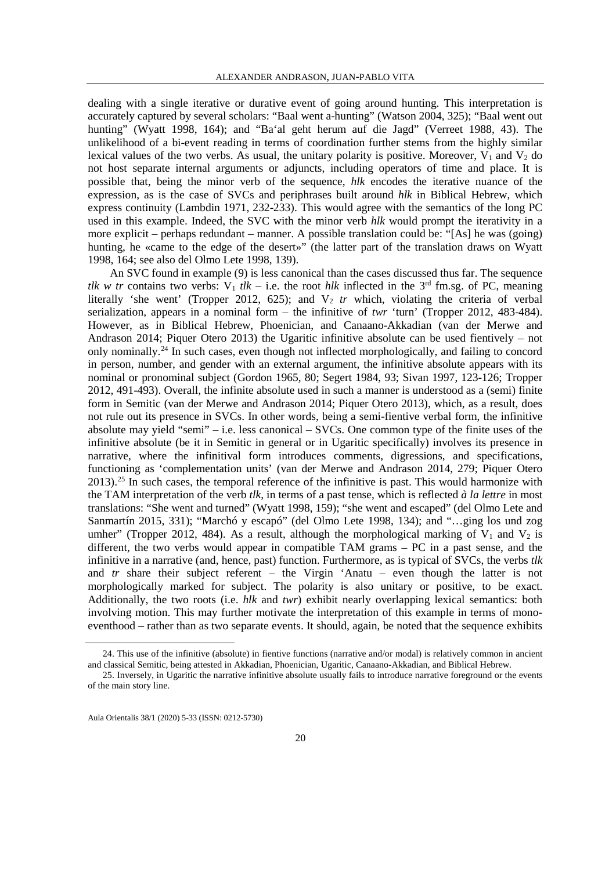dealing with a single iterative or durative event of going around hunting. This interpretation is accurately captured by several scholars: "Baal went a-hunting" (Watson 2004, 325); "Baal went out hunting" (Wyatt 1998, 164); and "Ba'al geht herum auf die Jagd" (Verreet 1988, 43). The unlikelihood of a bi-event reading in terms of coordination further stems from the highly similar lexical values of the two verbs. As usual, the unitary polarity is positive. Moreover,  $V_1$  and  $V_2$  do not host separate internal arguments or adjuncts, including operators of time and place. It is possible that, being the minor verb of the sequence, *hlk* encodes the iterative nuance of the expression, as is the case of SVCs and periphrases built around *hlk* in Biblical Hebrew, which express continuity (Lambdin 1971, 232-233). This would agree with the semantics of the long PC used in this example. Indeed, the SVC with the minor verb *hlk* would prompt the iterativity in a more explicit – perhaps redundant – manner. A possible translation could be: "[As] he was (going) hunting, he «came to the edge of the desert»" (the latter part of the translation draws on Wyatt 1998, 164; see also del Olmo Lete 1998, 139).

An SVC found in example (9) is less canonical than the cases discussed thus far. The sequence *tlk w tr* contains two verbs:  $V_1$  *tlk* – i.e. the root *hlk* inflected in the 3<sup>rd</sup> fm.sg. of PC, meaning literally 'she went' (Tropper 2012, 625); and V<sub>2</sub> tr which, violating the criteria of verbal serialization, appears in a nominal form – the infinitive of *twr* 'turn' (Tropper 2012, 483-484). However, as in Biblical Hebrew, Phoenician, and Canaano-Akkadian (van der Merwe and Andrason 2014; Piquer Otero 2013) the Ugaritic infinitive absolute can be used fientively – not only nominally.[24](#page-15-0) In such cases, even though not inflected morphologically, and failing to concord in person, number, and gender with an external argument, the infinitive absolute appears with its nominal or pronominal subject (Gordon 1965, 80; Segert 1984, 93; Sivan 1997, 123-126; Tropper 2012, 491-493). Overall, the infinite absolute used in such a manner is understood as a (semi) finite form in Semitic (van der Merwe and Andrason 2014; Piquer Otero 2013), which, as a result, does not rule out its presence in SVCs. In other words, being a semi-fientive verbal form, the infinitive absolute may yield "semi" – i.e. less canonical – SVCs. One common type of the finite uses of the infinitive absolute (be it in Semitic in general or in Ugaritic specifically) involves its presence in narrative, where the infinitival form introduces comments, digressions, and specifications, functioning as 'complementation units' (van der Merwe and Andrason 2014, 279; Piquer Otero  $2013$ .<sup>[25](#page-15-1)</sup> In such cases, the temporal reference of the infinitive is past. This would harmonize with the TAM interpretation of the verb *tlk*, in terms of a past tense, which is reflected *à la lettre* in most translations: "She went and turned" (Wyatt 1998, 159); "she went and escaped" (del Olmo Lete and Sanmartín 2015, 331); "Marchó y escapó" (del Olmo Lete 1998, 134); and "…ging los und zog umher" (Tropper 2012, 484). As a result, although the morphological marking of  $V_1$  and  $V_2$  is different, the two verbs would appear in compatible TAM grams – PC in a past sense, and the infinitive in a narrative (and, hence, past) function. Furthermore, as is typical of SVCs, the verbs *tlk* and *tr* share their subject referent – the Virgin 'Anatu – even though the latter is not morphologically marked for subject. The polarity is also unitary or positive, to be exact. Additionally, the two roots (i.e. *hlk* and *twr*) exhibit nearly overlapping lexical semantics: both involving motion. This may further motivate the interpretation of this example in terms of monoeventhood – rather than as two separate events. It should, again, be noted that the sequence exhibits

<span id="page-15-0"></span> <sup>24.</sup> This use of the infinitive (absolute) in fientive functions (narrative and/or modal) is relatively common in ancient and classical Semitic, being attested in Akkadian, Phoenician, Ugaritic, Canaano-Akkadian, and Biblical Hebrew.

<span id="page-15-1"></span><sup>25.</sup> Inversely, in Ugaritic the narrative infinitive absolute usually fails to introduce narrative foreground or the events of the main story line.

Aula Orientalis 38/1 (2020) 5-33 (ISSN: 0212-5730)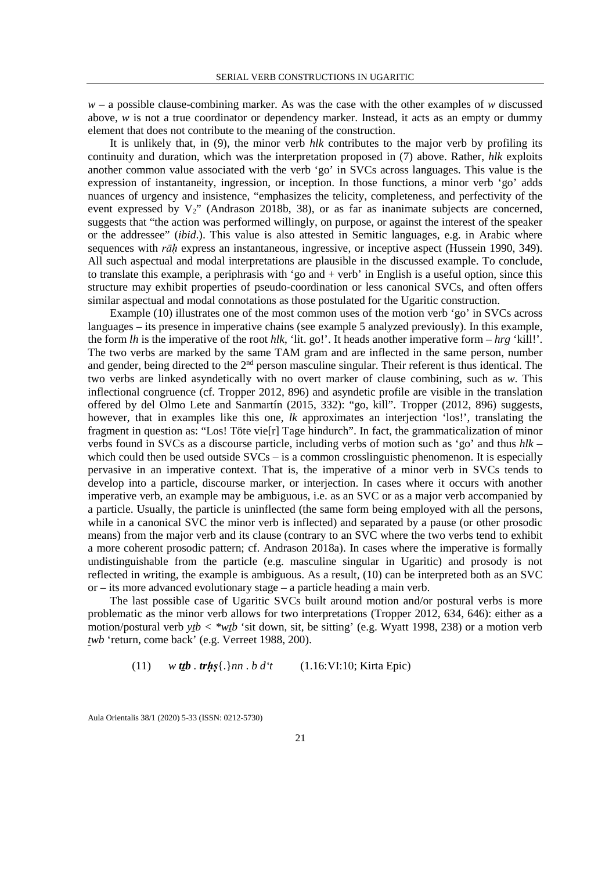*w* – a possible clause-combining marker. As was the case with the other examples of *w* discussed above, *w* is not a true coordinator or dependency marker. Instead, it acts as an empty or dummy element that does not contribute to the meaning of the construction.

It is unlikely that, in (9), the minor verb *hlk* contributes to the major verb by profiling its continuity and duration, which was the interpretation proposed in (7) above. Rather, *hlk* exploits another common value associated with the verb 'go' in SVCs across languages. This value is the expression of instantaneity, ingression, or inception. In those functions, a minor verb 'go' adds nuances of urgency and insistence, "emphasizes the telicity, completeness, and perfectivity of the event expressed by  $V_2$ " (Andrason 2018b, 38), or as far as inanimate subjects are concerned, suggests that "the action was performed willingly, on purpose, or against the interest of the speaker or the addressee" (*ibid*.). This value is also attested in Semitic languages, e.g. in Arabic where sequences with *rāḥ* express an instantaneous, ingressive, or inceptive aspect (Hussein 1990, 349). All such aspectual and modal interpretations are plausible in the discussed example. To conclude, to translate this example, a periphrasis with 'go and + verb' in English is a useful option, since this structure may exhibit properties of pseudo-coordination or less canonical SVCs, and often offers similar aspectual and modal connotations as those postulated for the Ugaritic construction.

Example (10) illustrates one of the most common uses of the motion verb 'go' in SVCs across languages – its presence in imperative chains (see example 5 analyzed previously). In this example, the form *lh* is the imperative of the root *hlk*, 'lit. go!'. It heads another imperative form – *hrg* 'kill!'. The two verbs are marked by the same TAM gram and are inflected in the same person, number and gender, being directed to the 2<sup>nd</sup> person masculine singular. Their referent is thus identical. The two verbs are linked asyndetically with no overt marker of clause combining, such as *w*. This inflectional congruence (cf. Tropper 2012, 896) and asyndetic profile are visible in the translation offered by del Olmo Lete and Sanmartín (2015, 332): "go, kill". Tropper (2012, 896) suggests, however, that in examples like this one, *lk* approximates an interjection 'los!', translating the fragment in question as: "Los! Töte vie[r] Tage hindurch". In fact, the grammaticalization of minor verbs found in SVCs as a discourse particle, including verbs of motion such as 'go' and thus *hlk* – which could then be used outside SVCs – is a common crosslinguistic phenomenon. It is especially pervasive in an imperative context. That is, the imperative of a minor verb in SVCs tends to develop into a particle, discourse marker, or interjection. In cases where it occurs with another imperative verb, an example may be ambiguous, i.e. as an SVC or as a major verb accompanied by a particle. Usually, the particle is uninflected (the same form being employed with all the persons, while in a canonical SVC the minor verb is inflected) and separated by a pause (or other prosodic means) from the major verb and its clause (contrary to an SVC where the two verbs tend to exhibit a more coherent prosodic pattern; cf. Andrason 2018a). In cases where the imperative is formally undistinguishable from the particle (e.g. masculine singular in Ugaritic) and prosody is not reflected in writing, the example is ambiguous. As a result, (10) can be interpreted both as an SVC or – its more advanced evolutionary stage – a particle heading a main verb.

The last possible case of Ugaritic SVCs built around motion and/or postural verbs is more problematic as the minor verb allows for two interpretations (Tropper 2012, 634, 646): either as a motion/postural verb  $y\bar{z}$   $\leftrightarrow$   $w\bar{z}$ *b* 'sit down, sit, be sitting' (e.g. Wyatt 1998, 238) or a motion verb *twb* 'return, come back' (e.g. Verreet 1988, 200).

(11) 
$$
w
$$
 *tt b* . *tr hs*{ $\lambda$ } *nn* . *b d*'*t* (1.16:VI:10; Kirta Epic)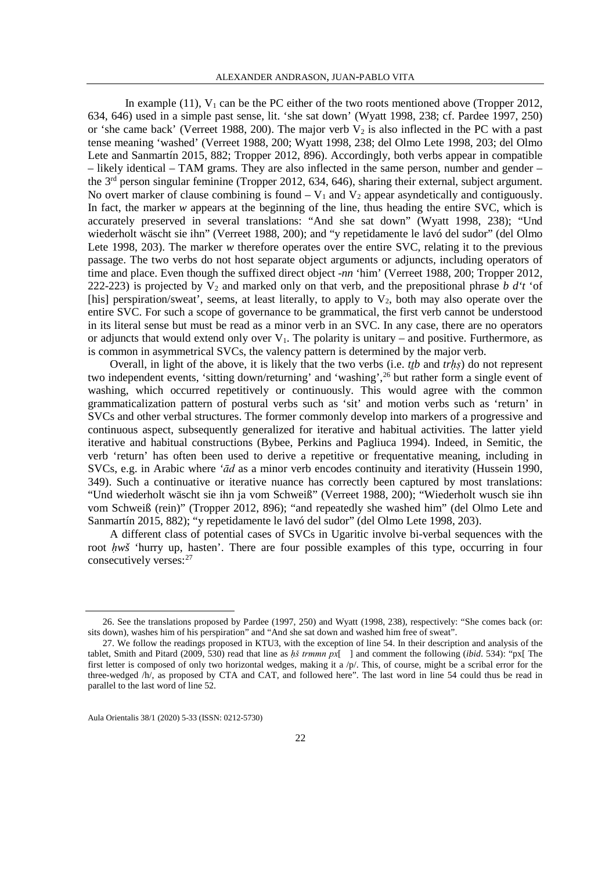In example (11),  $V_1$  can be the PC either of the two roots mentioned above (Tropper 2012, 634, 646) used in a simple past sense, lit. 'she sat down' (Wyatt 1998, 238; cf. Pardee 1997, 250) or 'she came back' (Verreet 1988, 200). The major verb  $V_2$  is also inflected in the PC with a past tense meaning 'washed' (Verreet 1988, 200; Wyatt 1998, 238; del Olmo Lete 1998, 203; del Olmo Lete and Sanmartín 2015, 882; Tropper 2012, 896). Accordingly, both verbs appear in compatible  $-$  likely identical – TAM grams. They are also inflected in the same person, number and gender – the 3rd person singular feminine (Tropper 2012, 634, 646), sharing their external, subject argument. No overt marker of clause combining is found  $-V_1$  and  $V_2$  appear asyndetically and contiguously. In fact, the marker *w* appears at the beginning of the line, thus heading the entire SVC, which is accurately preserved in several translations: "And she sat down" (Wyatt 1998, 238); "Und wiederholt wäscht sie ihn" (Verreet 1988, 200); and "y repetidamente le lavó del sudor" (del Olmo Lete 1998, 203). The marker *w* therefore operates over the entire SVC, relating it to the previous passage. The two verbs do not host separate object arguments or adjuncts, including operators of time and place. Even though the suffixed direct object -*nn* 'him' (Verreet 1988, 200; Tropper 2012, 222-223) is projected by  $V_2$  and marked only on that verb, and the prepositional phrase *b d't* 'of [his] perspiration/sweat', seems, at least literally, to apply to  $V_2$ , both may also operate over the entire SVC. For such a scope of governance to be grammatical, the first verb cannot be understood in its literal sense but must be read as a minor verb in an SVC. In any case, there are no operators or adjuncts that would extend only over  $V_1$ . The polarity is unitary – and positive. Furthermore, as is common in asymmetrical SVCs, the valency pattern is determined by the major verb.

Overall, in light of the above, it is likely that the two verbs (i.e. *tṯb* and *trḥṣ*) do not represent two independent events, 'sitting down/returning' and 'washing',<sup>26</sup> but rather form a single event of washing, which occurred repetitively or continuously. This would agree with the common grammaticalization pattern of postural verbs such as 'sit' and motion verbs such as 'return' in SVCs and other verbal structures. The former commonly develop into markers of a progressive and continuous aspect, subsequently generalized for iterative and habitual activities. The latter yield iterative and habitual constructions (Bybee, Perkins and Pagliuca 1994). Indeed, in Semitic, the verb 'return' has often been used to derive a repetitive or frequentative meaning, including in SVCs, e.g. in Arabic where *'ād* as a minor verb encodes continuity and iterativity (Hussein 1990, 349). Such a continuative or iterative nuance has correctly been captured by most translations: "Und wiederholt wäscht sie ihn ja vom Schweiß" (Verreet 1988, 200); "Wiederholt wusch sie ihn vom Schweiß (rein)" (Tropper 2012, 896); "and repeatedly she washed him" (del Olmo Lete and Sanmartín 2015, 882); "y repetidamente le lavó del sudor" (del Olmo Lete 1998, 203).

A different class of potential cases of SVCs in Ugaritic involve bi-verbal sequences with the root *ḥwš* 'hurry up, hasten'. There are four possible examples of this type, occurring in four consecutively verses: <sup>[27](#page-17-1)</sup>

<span id="page-17-0"></span> <sup>26.</sup> See the translations proposed by Pardee (1997, 250) and Wyatt (1998, 238), respectively: "She comes back (or: sits down), washes him of his perspiration" and "And she sat down and washed him free of sweat".

<span id="page-17-1"></span><sup>27.</sup> We follow the readings proposed in KTU3, with the exception of line 54. In their description and analysis of the tablet, Smith and Pitard (2009, 530) read that line as *ḥš trmmn px*[ ] and comment the following (*ibid*. 534): "px[ The first letter is composed of only two horizontal wedges, making it a  $/p/$ . This, of course, might be a scribal error for the three-wedged /h/, as proposed by CTA and CAT, and followed here". The last word in line 54 could thus be read in parallel to the last word of line 52.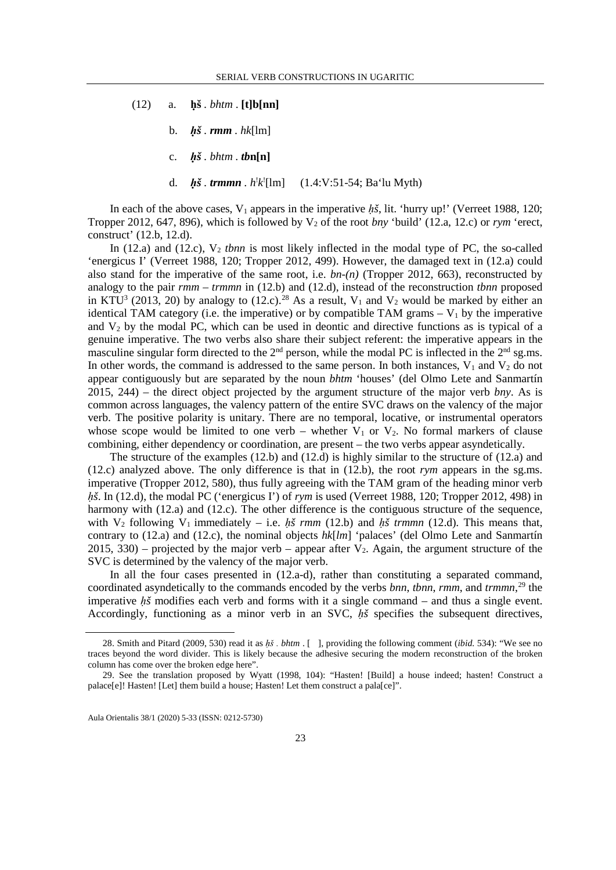- (12) a. **ḥš** *. bhtm* . **[t]b[nn]**
	- b. *ḥš . rmm . hk*[lm]
	- c.  $h\check{s}$ . *bhtm*.  $tbn[n]$
	- d. *ḥš . trmmn . h*! *k*! [lm] (1.4:V:51-54; Ba'lu Myth)

In each of the above cases,  $V_1$  appears in the imperative  $h\tilde{s}$ , lit. 'hurry up!' (Verreet 1988, 120; Tropper 2012, 647, 896), which is followed by  $V_2$  of the root *bny* 'build' (12.a, 12.c) or *rym* 'erect, construct' (12.b, 12.d).

In  $(12.a)$  and  $(12.c)$ ,  $V_2$  *tbnn* is most likely inflected in the modal type of PC, the so-called 'energicus I' (Verreet 1988, 120; Tropper 2012, 499). However, the damaged text in (12.a) could also stand for the imperative of the same root, i.e. *bn-(n)* (Tropper 2012, 663), reconstructed by analogy to the pair *rmm – trmmn* in (12.b) and (12.d), instead of the reconstruction *tbnn* proposed in KTU<sup>3</sup> (2013, 20) by analogy to (12.c).<sup>28</sup> As a result,  $V_1$  and  $V_2$  would be marked by either an identical TAM category (i.e. the imperative) or by compatible TAM grams  $-V_1$  by the imperative and  $V_2$  by the modal PC, which can be used in deontic and directive functions as is typical of a genuine imperative. The two verbs also share their subject referent: the imperative appears in the masculine singular form directed to the  $2<sup>nd</sup>$  person, while the modal PC is inflected in the  $2<sup>nd</sup>$  sg.ms. In other words, the command is addressed to the same person. In both instances,  $V_1$  and  $V_2$  do not appear contiguously but are separated by the noun *bhtm* 'houses' (del Olmo Lete and Sanmartín 2015, 244) – the direct object projected by the argument structure of the major verb *bny*. As is common across languages, the valency pattern of the entire SVC draws on the valency of the major verb. The positive polarity is unitary. There are no temporal, locative, or instrumental operators whose scope would be limited to one verb – whether  $V_1$  or  $V_2$ . No formal markers of clause combining, either dependency or coordination, are present – the two verbs appear asyndetically.

The structure of the examples (12.b) and (12.d) is highly similar to the structure of (12.a) and (12.c) analyzed above. The only difference is that in (12.b), the root *rym* appears in the sg.ms. imperative (Tropper 2012, 580), thus fully agreeing with the TAM gram of the heading minor verb *h*<sup>*š*</sup>. In (12.d), the modal PC ('energicus I') of *rym* is used (Verreet 1988, 120; Tropper 2012, 498) in harmony with (12.a) and (12.c). The other difference is the contiguous structure of the sequence, with  $V_2$  following  $V_1$  immediately – i.e. *hš rmm* (12.b) and *hš trmmn* (12.d). This means that, contrary to (12.a) and (12.c), the nominal objects *hk*[*lm*] 'palaces' (del Olmo Lete and Sanmartín  $2015, 330$  – projected by the major verb – appear after V<sub>2</sub>. Again, the argument structure of the SVC is determined by the valency of the major verb.

In all the four cases presented in  $(12.a-d)$ , rather than constituting a separated command, coordinated asyndetically to the commands encoded by the verbs *bnn*, *tbnn*, *rmm*, and *trmmn*, [29](#page-18-1) the imperative *ḥš* modifies each verb and forms with it a single command – and thus a single event. Accordingly, functioning as a minor verb in an SVC, *ḥš* specifies the subsequent directives,

<span id="page-18-0"></span> <sup>28.</sup> Smith and Pitard (2009, 530) read it as *ḥš . bhtm* . [], providing the following comment (*ibid.* 534): "We see no traces beyond the word divider. This is likely because the adhesive securing the modern reconstruction of the broken column has come over the broken edge here".

<span id="page-18-1"></span><sup>29.</sup> See the translation proposed by Wyatt (1998, 104): "Hasten! [Build] a house indeed; hasten! Construct a palace[e]! Hasten! [Let] them build a house; Hasten! Let them construct a pala[ce]".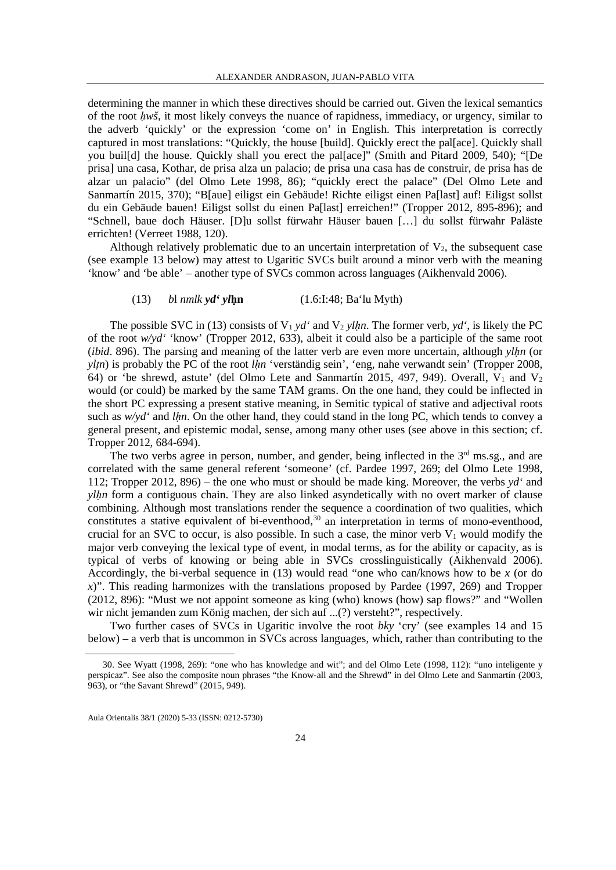determining the manner in which these directives should be carried out. Given the lexical semantics of the root *ḥwš*, it most likely conveys the nuance of rapidness, immediacy, or urgency, similar to the adverb 'quickly' or the expression 'come on' in English. This interpretation is correctly captured in most translations: "Quickly, the house [build]. Quickly erect the pal[ace]. Quickly shall you buil[d] the house. Quickly shall you erect the pal[ace]" (Smith and Pitard 2009, 540); "[De prisa] una casa, Kothar, de prisa alza un palacio; de prisa una casa has de construir, de prisa has de alzar un palacio" (del Olmo Lete 1998, 86); "quickly erect the palace" (Del Olmo Lete and Sanmartín 2015, 370); "B[aue] eiligst ein Gebäude! Richte eiligst einen Pa[last] auf! Eiligst sollst du ein Gebäude bauen! Eiligst sollst du einen Pa[last] erreichen!" (Tropper 2012, 895-896); and "Schnell, baue doch Häuser. [D]u sollst fürwahr Häuser bauen […] du sollst fürwahr Paläste errichten! (Verreet 1988, 120).

Although relatively problematic due to an uncertain interpretation of  $V_2$ , the subsequent case (see example 13 below) may attest to Ugaritic SVCs built around a minor verb with the meaning 'know' and 'be able' – another type of SVCs common across languages (Aikhenvald 2006).

## (13) *b*l *nmlk yd' yl***ḥn** (1.6:I:48; Ba'lu Myth)

The possible SVC in (13) consists of  $V_1 y d'$  and  $V_2 y l h n$ . The former verb,  $y d'$ , is likely the PC of the root *w/yd'* 'know' (Tropper 2012, 633), albeit it could also be a participle of the same root (*ibid*. 896). The parsing and meaning of the latter verb are even more uncertain, although *ylḥn* (or *ylṭn*) is probably the PC of the root *lḥn* 'verständig sein', 'eng, nahe verwandt sein' (Tropper 2008, 64) or 'be shrewd, astute' (del Olmo Lete and Sanmartín 2015, 497, 949). Overall,  $V_1$  and  $V_2$ would (or could) be marked by the same TAM grams. On the one hand, they could be inflected in the short PC expressing a present stative meaning, in Semitic typical of stative and adjectival roots such as  $w/d'$  and *lhn*. On the other hand, they could stand in the long PC, which tends to convey a general present, and epistemic modal, sense, among many other uses (see above in this section; cf. Tropper 2012, 684-694).

The two verbs agree in person, number, and gender, being inflected in the  $3<sup>rd</sup>$  ms.sg., and are correlated with the same general referent 'someone' (cf. Pardee 1997, 269; del Olmo Lete 1998, 112; Tropper 2012, 896) – the one who must or should be made king. Moreover, the verbs *yd'* and *ylhn* form a contiguous chain. They are also linked asyndetically with no overt marker of clause combining. Although most translations render the sequence a coordination of two qualities, which constitutes a stative equivalent of bi-eventhood,<sup>[30](#page-19-0)</sup> an interpretation in terms of mono-eventhood, crucial for an SVC to occur, is also possible. In such a case, the minor verb  $V_1$  would modify the major verb conveying the lexical type of event, in modal terms, as for the ability or capacity, as is typical of verbs of knowing or being able in SVCs crosslinguistically (Aikhenvald 2006). Accordingly, the bi-verbal sequence in (13) would read "one who can/knows how to be *x* (or do *x*)". This reading harmonizes with the translations proposed by Pardee (1997, 269) and Tropper (2012, 896): "Must we not appoint someone as king (who) knows (how) sap flows?" and "Wollen wir nicht jemanden zum König machen, der sich auf ...(?) versteht?", respectively.

Two further cases of SVCs in Ugaritic involve the root *bky* 'cry' (see examples 14 and 15 below) – a verb that is uncommon in SVCs across languages, which, rather than contributing to the

<span id="page-19-0"></span> <sup>30.</sup> See Wyatt (1998, 269): "one who has knowledge and wit"; and del Olmo Lete (1998, 112): "uno inteligente y perspicaz". See also the composite noun phrases "the Know-all and the Shrewd" in del Olmo Lete and Sanmartín (2003, 963), or "the Savant Shrewd" (2015, 949).

Aula Orientalis 38/1 (2020) 5-33 (ISSN: 0212-5730)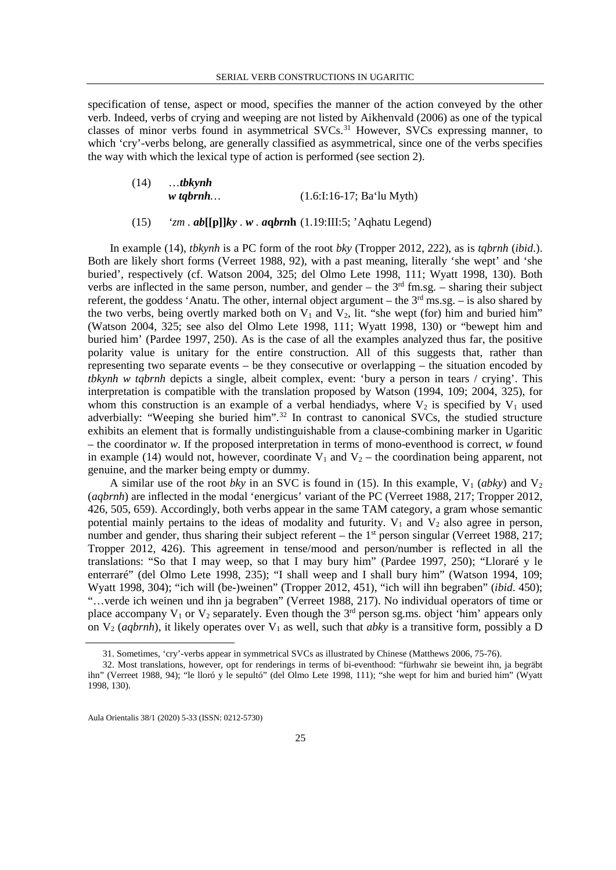specification of tense, aspect or mood, specifies the manner of the action conveyed by the other verb. Indeed, verbs of crying and weeping are not listed by Aikhenvald (2006) as one of the typical classes of minor verbs found in asymmetrical SVCs.<sup>[31](#page-20-0)</sup> However, SVCs expressing manner, to which 'cry'-verbs belong, are generally classified as asymmetrical, since one of the verbs specifies the way with which the lexical type of action is performed (see section 2).

| (14) | $$ tbkynh  |                             |  |  |
|------|------------|-----------------------------|--|--|
|      | $w$ tqbrnh | $(1.6:1:16-17; Ba'lu Myth)$ |  |  |

## (15) *'zm . ab***[[p]]***ky . w . a***q***brn***h** (1.19:III:5; 'Aqhatu Legend)

In example (14), *tbkynh* is a PC form of the root *bky* (Tropper 2012, 222), as is *tqbrnh* (*ibid*.). Both are likely short forms (Verreet 1988, 92), with a past meaning, literally 'she wept' and 'she buried', respectively (cf. Watson 2004, 325; del Olmo Lete 1998, 111; Wyatt 1998, 130). Both verbs are inflected in the same person, number, and gender – the  $3<sup>rd</sup>$  fm.sg. – sharing their subject referent, the goddess 'Anatu. The other, internal object argument – the 3rd ms.sg. – is also shared by the two verbs, being overtly marked both on  $V_1$  and  $V_2$ , lit. "she wept (for) him and buried him" (Watson 2004, 325; see also del Olmo Lete 1998, 111; Wyatt 1998, 130) or "bewept him and buried him' (Pardee 1997, 250). As is the case of all the examples analyzed thus far, the positive polarity value is unitary for the entire construction. All of this suggests that, rather than representing two separate events – be they consecutive or overlapping – the situation encoded by *tbkynh w tqbrnh* depicts a single, albeit complex, event: 'bury a person in tears / crying'. This interpretation is compatible with the translation proposed by Watson (1994, 109; 2004, 325), for whom this construction is an example of a verbal hendiadys, where  $V_2$  is specified by  $V_1$  used adverbially: "Weeping she buried him".<sup>[32](#page-20-1)</sup> In contrast to canonical SVCs, the studied structure exhibits an element that is formally undistinguishable from a clause-combining marker in Ugaritic – the coordinator *w*. If the proposed interpretation in terms of mono-eventhood is correct, *w* found in example (14) would not, however, coordinate  $V_1$  and  $V_2$  – the coordination being apparent, not genuine, and the marker being empty or dummy.

A similar use of the root *bky* in an SVC is found in (15). In this example,  $V_1$  (*abky*) and  $V_2$ (*aqbrnh*) are inflected in the modal 'energicus' variant of the PC (Verreet 1988, 217; Tropper 2012, 426, 505, 659). Accordingly, both verbs appear in the same TAM category, a gram whose semantic potential mainly pertains to the ideas of modality and futurity.  $V_1$  and  $V_2$  also agree in person, number and gender, thus sharing their subject referent – the  $1<sup>st</sup>$  person singular (Verreet 1988, 217; Tropper 2012, 426). This agreement in tense/mood and person/number is reflected in all the translations: "So that I may weep, so that I may bury him" (Pardee 1997, 250); "Lloraré y le enterraré" (del Olmo Lete 1998, 235); "I shall weep and I shall bury him" (Watson 1994, 109; Wyatt 1998, 304); "ich will (be-)weinen" (Tropper 2012, 451), "ich will ihn begraben" (*ibid*. 450); "…verde ich weinen und ihn ja begraben" (Verreet 1988, 217). No individual operators of time or place accompany  $V_1$  or  $V_2$  separately. Even though the  $3<sup>rd</sup>$  person sg.ms. object 'him' appears only on  $V_2$  (*aqbrnh*), it likely operates over  $V_1$  as well, such that *abky* is a transitive form, possibly a D

 <sup>31.</sup> Sometimes, 'cry'-verbs appear in symmetrical SVCs as illustrated by Chinese (Matthews 2006, 75-76).

<span id="page-20-1"></span><span id="page-20-0"></span><sup>32.</sup> Most translations, however, opt for renderings in terms of bi-eventhood: "fürhwahr sie beweint ihn, ja begräbt ihn" (Verreet 1988, 94); "le lloró y le sepultó" (del Olmo Lete 1998, 111); "she wept for him and buried him" (Wyatt 1998, 130).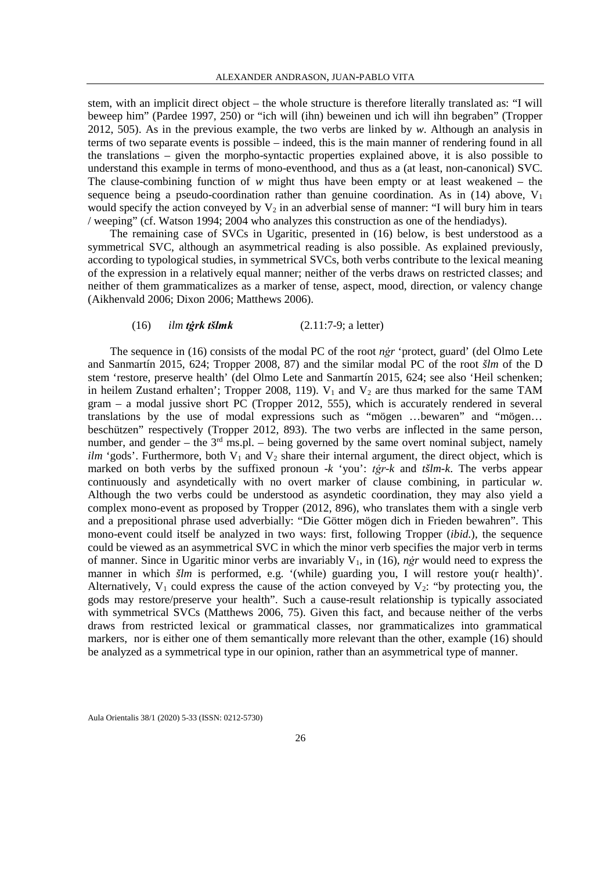stem, with an implicit direct object – the whole structure is therefore literally translated as: "I will beweep him" (Pardee 1997, 250) or "ich will (ihn) beweinen und ich will ihn begraben" (Tropper 2012, 505). As in the previous example, the two verbs are linked by *w*. Although an analysis in terms of two separate events is possible – indeed, this is the main manner of rendering found in all the translations – given the morpho-syntactic properties explained above, it is also possible to understand this example in terms of mono-eventhood, and thus as a (at least, non-canonical) SVC. The clause-combining function of *w* might thus have been empty or at least weakened – the sequence being a pseudo-coordination rather than genuine coordination. As in (14) above,  $V_1$ would specify the action conveyed by  $V_2$  in an adverbial sense of manner: "I will bury him in tears / weeping" (cf. Watson 1994; 2004 who analyzes this construction as one of the hendiadys).

The remaining case of SVCs in Ugaritic, presented in (16) below, is best understood as a symmetrical SVC, although an asymmetrical reading is also possible. As explained previously, according to typological studies, in symmetrical SVCs, both verbs contribute to the lexical meaning of the expression in a relatively equal manner; neither of the verbs draws on restricted classes; and neither of them grammaticalizes as a marker of tense, aspect, mood, direction, or valency change (Aikhenvald 2006; Dixon 2006; Matthews 2006).

## (16) *ilm tġrk tšlmk* (2.11:7-9; a letter)

The sequence in (16) consists of the modal PC of the root *nġr* 'protect, guard' (del Olmo Lete and Sanmartín 2015, 624; Tropper 2008, 87) and the similar modal PC of the root *šlm* of the D stem 'restore, preserve health' (del Olmo Lete and Sanmartín 2015, 624; see also 'Heil schenken; in heilem Zustand erhalten'; Tropper 2008, 119).  $V_1$  and  $V_2$  are thus marked for the same TAM gram – a modal jussive short PC (Tropper 2012, 555), which is accurately rendered in several translations by the use of modal expressions such as "mögen …bewaren" and "mögen… beschützen" respectively (Tropper 2012, 893). The two verbs are inflected in the same person, number, and gender – the  $3<sup>rd</sup>$  ms.pl. – being governed by the same overt nominal subject, namely *ilm* 'gods'. Furthermore, both  $V_1$  and  $V_2$  share their internal argument, the direct object, which is marked on both verbs by the suffixed pronoun -*k* 'you': *tġr-k* and *tšlm-k*. The verbs appear continuously and asyndetically with no overt marker of clause combining, in particular *w*. Although the two verbs could be understood as asyndetic coordination, they may also yield a complex mono-event as proposed by Tropper (2012, 896), who translates them with a single verb and a prepositional phrase used adverbially: "Die Götter mögen dich in Frieden bewahren". This mono-event could itself be analyzed in two ways: first, following Tropper (*ibid*.), the sequence could be viewed as an asymmetrical SVC in which the minor verb specifies the major verb in terms of manner. Since in Ugaritic minor verbs are invariably V1, in (16), *nġr* would need to express the manner in which  $\check{s}lm$  is performed, e.g. '(while) guarding you, I will restore you(r health)'. Alternatively,  $V_1$  could express the cause of the action conveyed by  $V_2$ : "by protecting you, the gods may restore/preserve your health". Such a cause-result relationship is typically associated with symmetrical SVCs (Matthews 2006, 75). Given this fact, and because neither of the verbs draws from restricted lexical or grammatical classes, nor grammaticalizes into grammatical markers, nor is either one of them semantically more relevant than the other, example (16) should be analyzed as a symmetrical type in our opinion, rather than an asymmetrical type of manner.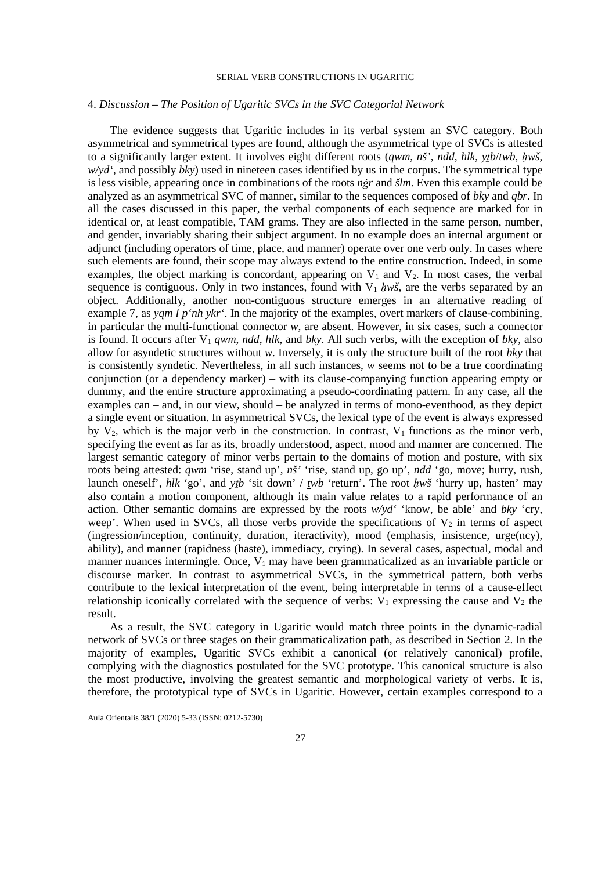## 4. *Discussion – The Position of Ugaritic SVCs in the SVC Categorial Network*

The evidence suggests that Ugaritic includes in its verbal system an SVC category. Both asymmetrical and symmetrical types are found, although the asymmetrical type of SVCs is attested to a significantly larger extent. It involves eight different roots (*qwm*, *nš'*, *ndd*, *hlk*, *yṯb*/*twb*, *ḥwš*, *w/yd'*, and possibly *bky*) used in nineteen cases identified by us in the corpus. The symmetrical type is less visible, appearing once in combinations of the roots *nġr* and *šlm*. Even this example could be analyzed as an asymmetrical SVC of manner, similar to the sequences composed of *bky* and *qbr*. In all the cases discussed in this paper, the verbal components of each sequence are marked for in identical or, at least compatible, TAM grams. They are also inflected in the same person, number, and gender, invariably sharing their subject argument. In no example does an internal argument or adjunct (including operators of time, place, and manner) operate over one verb only. In cases where such elements are found, their scope may always extend to the entire construction. Indeed, in some examples, the object marking is concordant, appearing on  $V_1$  and  $V_2$ . In most cases, the verbal sequence is contiguous. Only in two instances, found with  $V_1$  *hws*, are the verbs separated by an object. Additionally, another non-contiguous structure emerges in an alternative reading of example 7, as *yqm l p'nh ykr'*. In the majority of the examples, overt markers of clause-combining, in particular the multi-functional connector *w*, are absent. However, in six cases, such a connector is found. It occurs after  $V_1$  *qwm*, *ndd*, *hlk*, and *bky*. All such verbs, with the exception of *bky*, also allow for asyndetic structures without *w*. Inversely, it is only the structure built of the root *bky* that is consistently syndetic. Nevertheless, in all such instances, *w* seems not to be a true coordinating conjunction (or a dependency marker) – with its clause-companying function appearing empty or dummy, and the entire structure approximating a pseudo-coordinating pattern. In any case, all the examples can – and, in our view, should – be analyzed in terms of mono-eventhood, as they depict a single event or situation. In asymmetrical SVCs, the lexical type of the event is always expressed by  $V_2$ , which is the major verb in the construction. In contrast,  $V_1$  functions as the minor verb, specifying the event as far as its, broadly understood, aspect, mood and manner are concerned. The largest semantic category of minor verbs pertain to the domains of motion and posture, with six roots being attested: *qwm* 'rise, stand up', *nš'* 'rise, stand up, go up', *ndd* 'go, move; hurry, rush, launch oneself', *hlk* 'go', and *ytb* 'sit down' / *twb* 'return'. The root *hwš* 'hurry up, hasten' may also contain a motion component, although its main value relates to a rapid performance of an action. Other semantic domains are expressed by the roots *w/yd'* 'know, be able' and *bky* 'cry, weep'. When used in SVCs, all those verbs provide the specifications of  $V_2$  in terms of aspect (ingression/inception, continuity, duration, iteractivity), mood (emphasis, insistence, urge(ncy), ability), and manner (rapidness (haste), immediacy, crying). In several cases, aspectual, modal and manner nuances intermingle. Once,  $V_1$  may have been grammaticalized as an invariable particle or discourse marker. In contrast to asymmetrical SVCs, in the symmetrical pattern, both verbs contribute to the lexical interpretation of the event, being interpretable in terms of a cause-effect relationship iconically correlated with the sequence of verbs:  $V_1$  expressing the cause and  $V_2$  the result.

As a result, the SVC category in Ugaritic would match three points in the dynamic-radial network of SVCs or three stages on their grammaticalization path, as described in Section 2. In the majority of examples, Ugaritic SVCs exhibit a canonical (or relatively canonical) profile, complying with the diagnostics postulated for the SVC prototype. This canonical structure is also the most productive, involving the greatest semantic and morphological variety of verbs. It is, therefore, the prototypical type of SVCs in Ugaritic. However, certain examples correspond to a

Aula Orientalis 38/1 (2020) 5-33 (ISSN: 0212-5730)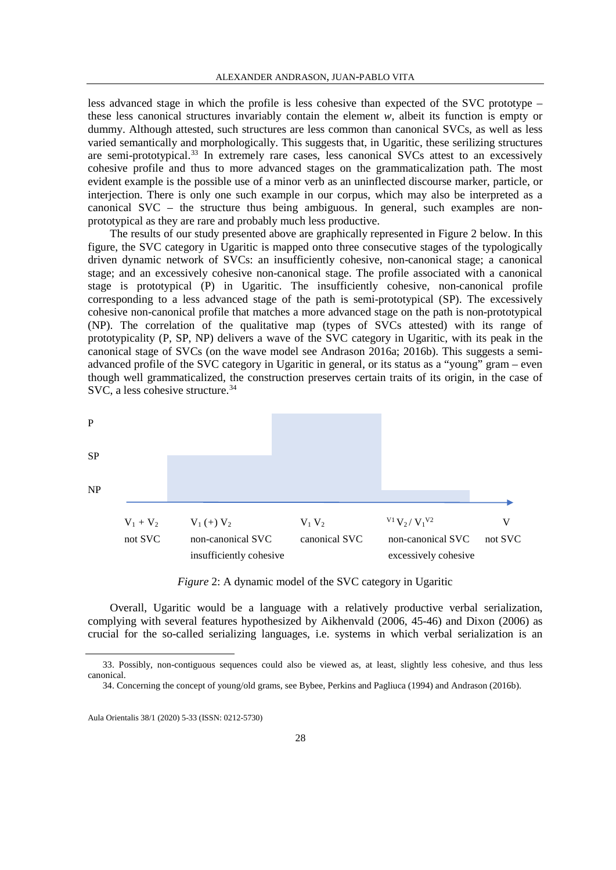less advanced stage in which the profile is less cohesive than expected of the SVC prototype – these less canonical structures invariably contain the element *w*, albeit its function is empty or dummy. Although attested, such structures are less common than canonical SVCs, as well as less varied semantically and morphologically. This suggests that, in Ugaritic, these serilizing structures are semi-prototypical.[33](#page-23-0) In extremely rare cases, less canonical SVCs attest to an excessively cohesive profile and thus to more advanced stages on the grammaticalization path. The most evident example is the possible use of a minor verb as an uninflected discourse marker, particle, or interjection. There is only one such example in our corpus, which may also be interpreted as a canonical SVC – the structure thus being ambiguous. In general, such examples are nonprototypical as they are rare and probably much less productive.

The results of our study presented above are graphically represented in Figure 2 below. In this figure, the SVC category in Ugaritic is mapped onto three consecutive stages of the typologically driven dynamic network of SVCs: an insufficiently cohesive, non-canonical stage; a canonical stage; and an excessively cohesive non-canonical stage. The profile associated with a canonical stage is prototypical (P) in Ugaritic. The insufficiently cohesive, non-canonical profile corresponding to a less advanced stage of the path is semi-prototypical (SP). The excessively cohesive non-canonical profile that matches a more advanced stage on the path is non-prototypical (NP). The correlation of the qualitative map (types of SVCs attested) with its range of prototypicality (P, SP, NP) delivers a wave of the SVC category in Ugaritic, with its peak in the canonical stage of SVCs (on the wave model see Andrason 2016a; 2016b). This suggests a semiadvanced profile of the SVC category in Ugaritic in general, or its status as a "young" gram – even though well grammaticalized, the construction preserves certain traits of its origin, in the case of SVC, a less cohesive structure.<sup>[34](#page-23-1)</sup>



*Figure* 2: A dynamic model of the SVC category in Ugaritic

Overall, Ugaritic would be a language with a relatively productive verbal serialization, complying with several features hypothesized by Aikhenvald (2006, 45-46) and Dixon (2006) as crucial for the so-called serializing languages, i.e. systems in which verbal serialization is an

<span id="page-23-1"></span><span id="page-23-0"></span> <sup>33.</sup> Possibly, non-contiguous sequences could also be viewed as, at least, slightly less cohesive, and thus less canonical.

<sup>34.</sup> Concerning the concept of young/old grams, see Bybee, Perkins and Pagliuca (1994) and Andrason (2016b).

Aula Orientalis 38/1 (2020) 5-33 (ISSN: 0212-5730)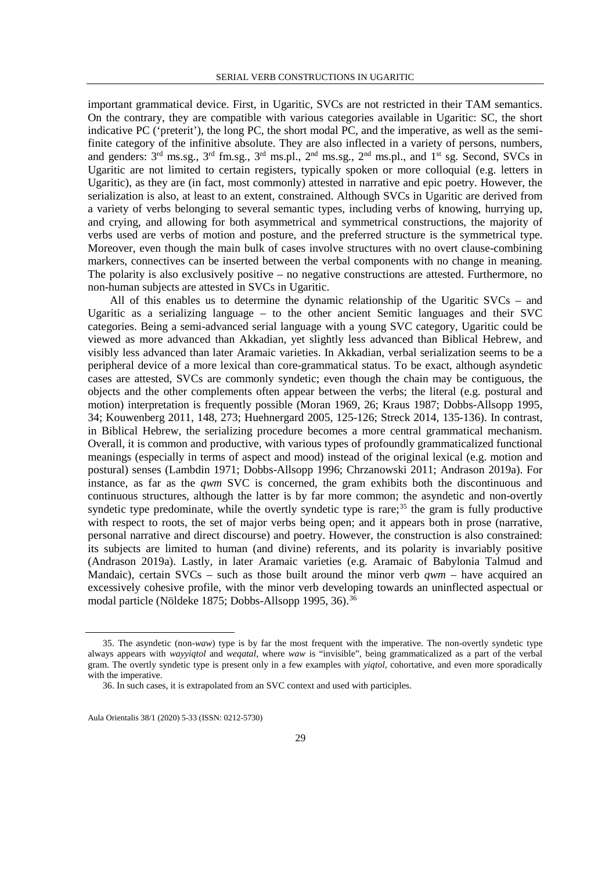important grammatical device. First, in Ugaritic, SVCs are not restricted in their TAM semantics. On the contrary, they are compatible with various categories available in Ugaritic: SC, the short indicative PC ('preterit'), the long PC, the short modal PC, and the imperative, as well as the semifinite category of the infinitive absolute. They are also inflected in a variety of persons, numbers, and genders: 3rd ms.sg., 3rd fm.sg., 3rd ms.pl., 2nd ms.sg., 2nd ms.pl., and 1st sg. Second, SVCs in Ugaritic are not limited to certain registers, typically spoken or more colloquial (e.g. letters in Ugaritic), as they are (in fact, most commonly) attested in narrative and epic poetry. However, the serialization is also, at least to an extent, constrained. Although SVCs in Ugaritic are derived from a variety of verbs belonging to several semantic types, including verbs of knowing, hurrying up, and crying, and allowing for both asymmetrical and symmetrical constructions, the majority of verbs used are verbs of motion and posture, and the preferred structure is the symmetrical type. Moreover, even though the main bulk of cases involve structures with no overt clause-combining markers, connectives can be inserted between the verbal components with no change in meaning. The polarity is also exclusively positive – no negative constructions are attested. Furthermore, no non-human subjects are attested in SVCs in Ugaritic.

All of this enables us to determine the dynamic relationship of the Ugaritic SVCs – and Ugaritic as a serializing language – to the other ancient Semitic languages and their SVC categories. Being a semi-advanced serial language with a young SVC category, Ugaritic could be viewed as more advanced than Akkadian, yet slightly less advanced than Biblical Hebrew, and visibly less advanced than later Aramaic varieties. In Akkadian, verbal serialization seems to be a peripheral device of a more lexical than core-grammatical status. To be exact, although asyndetic cases are attested, SVCs are commonly syndetic; even though the chain may be contiguous, the objects and the other complements often appear between the verbs; the literal (e.g. postural and motion) interpretation is frequently possible (Moran 1969, 26; Kraus 1987; Dobbs-Allsopp 1995, 34; Kouwenberg 2011, 148, 273; Huehnergard 2005, 125-126; Streck 2014, 135-136). In contrast, in Biblical Hebrew, the serializing procedure becomes a more central grammatical mechanism. Overall, it is common and productive, with various types of profoundly grammaticalized functional meanings (especially in terms of aspect and mood) instead of the original lexical (e.g. motion and postural) senses (Lambdin 1971; Dobbs-Allsopp 1996; Chrzanowski 2011; Andrason 2019a). For instance, as far as the *qwm* SVC is concerned, the gram exhibits both the discontinuous and continuous structures, although the latter is by far more common; the asyndetic and non-overtly syndetic type predominate, while the overtly syndetic type is rare;<sup>[35](#page-24-0)</sup> the gram is fully productive with respect to roots, the set of major verbs being open; and it appears both in prose (narrative, personal narrative and direct discourse) and poetry. However, the construction is also constrained: its subjects are limited to human (and divine) referents, and its polarity is invariably positive (Andrason 2019a). Lastly, in later Aramaic varieties (e.g. Aramaic of Babylonia Talmud and Mandaic), certain SVCs – such as those built around the minor verb  $qwm$  – have acquired an excessively cohesive profile, with the minor verb developing towards an uninflected aspectual or modal particle (Nöldeke 1875; Dobbs-Allsopp 1995, [36](#page-24-1)).<sup>36</sup>

<span id="page-24-0"></span> <sup>35.</sup> The asyndetic (non-*waw*) type is by far the most frequent with the imperative. The non-overtly syndetic type always appears with *wayyiqtol* and *weqatal*, where *waw* is "invisible", being grammaticalized as a part of the verbal gram. The overtly syndetic type is present only in a few examples with *yiqtol*, cohortative, and even more sporadically with the imperative.

<sup>36.</sup> In such cases, it is extrapolated from an SVC context and used with participles.

<span id="page-24-1"></span>Aula Orientalis 38/1 (2020) 5-33 (ISSN: 0212-5730)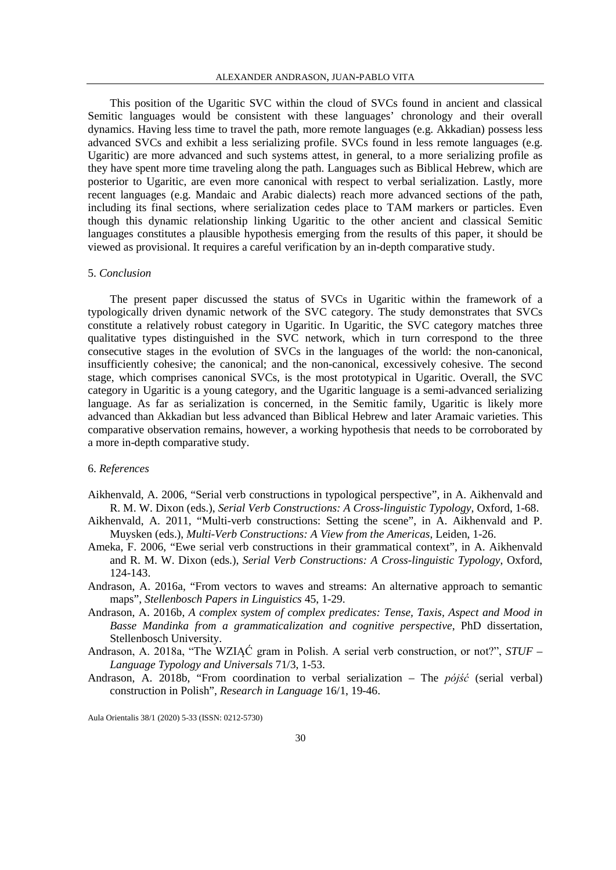This position of the Ugaritic SVC within the cloud of SVCs found in ancient and classical Semitic languages would be consistent with these languages' chronology and their overall dynamics. Having less time to travel the path, more remote languages (e.g. Akkadian) possess less advanced SVCs and exhibit a less serializing profile. SVCs found in less remote languages (e.g. Ugaritic) are more advanced and such systems attest, in general, to a more serializing profile as they have spent more time traveling along the path. Languages such as Biblical Hebrew, which are posterior to Ugaritic, are even more canonical with respect to verbal serialization. Lastly, more recent languages (e.g. Mandaic and Arabic dialects) reach more advanced sections of the path, including its final sections, where serialization cedes place to TAM markers or particles. Even though this dynamic relationship linking Ugaritic to the other ancient and classical Semitic languages constitutes a plausible hypothesis emerging from the results of this paper, it should be viewed as provisional. It requires a careful verification by an in-depth comparative study.

### 5. *Conclusion*

The present paper discussed the status of SVCs in Ugaritic within the framework of a typologically driven dynamic network of the SVC category. The study demonstrates that SVCs constitute a relatively robust category in Ugaritic. In Ugaritic, the SVC category matches three qualitative types distinguished in the SVC network, which in turn correspond to the three consecutive stages in the evolution of SVCs in the languages of the world: the non-canonical, insufficiently cohesive; the canonical; and the non-canonical, excessively cohesive. The second stage, which comprises canonical SVCs, is the most prototypical in Ugaritic. Overall, the SVC category in Ugaritic is a young category, and the Ugaritic language is a semi-advanced serializing language. As far as serialization is concerned, in the Semitic family, Ugaritic is likely more advanced than Akkadian but less advanced than Biblical Hebrew and later Aramaic varieties. This comparative observation remains, however, a working hypothesis that needs to be corroborated by a more in-depth comparative study.

## 6. *References*

- Aikhenvald, A. 2006, "Serial verb constructions in typological perspective", in A. Aikhenvald and R. M. W. Dixon (eds.), *Serial Verb Constructions: A Cross-linguistic Typology*, Oxford, 1-68.
- Aikhenvald, A. 2011, "Multi-verb constructions: Setting the scene", in A. Aikhenvald and P. Muysken (eds.), *Multi-Verb Constructions: A View from the Americas*, Leiden, 1-26.
- Ameka, F. 2006, "Ewe serial verb constructions in their grammatical context", in A. Aikhenvald and R. M. W. Dixon (eds.), *Serial Verb Constructions: A Cross-linguistic Typology*, Oxford, 124-143.
- Andrason, A. 2016a, "From vectors to waves and streams: An alternative approach to semantic maps", *Stellenbosch Papers in Linguistics* 45, 1-29.
- Andrason, A. 2016b, *A complex system of complex predicates: Tense, Taxis, Aspect and Mood in Basse Mandinka from a grammaticalization and cognitive perspective*, PhD dissertation, Stellenbosch University.
- Andrason, A. 2018a, "The WZIĄĆ gram in Polish. A serial verb construction, or not?", *STUF – Language Typology and Universals* 71/3, 1-53.
- Andrason, A. 2018b, "From coordination to verbal serialization The *pójść* (serial verbal) construction in Polish", *Research in Language* 16/1, 19-46.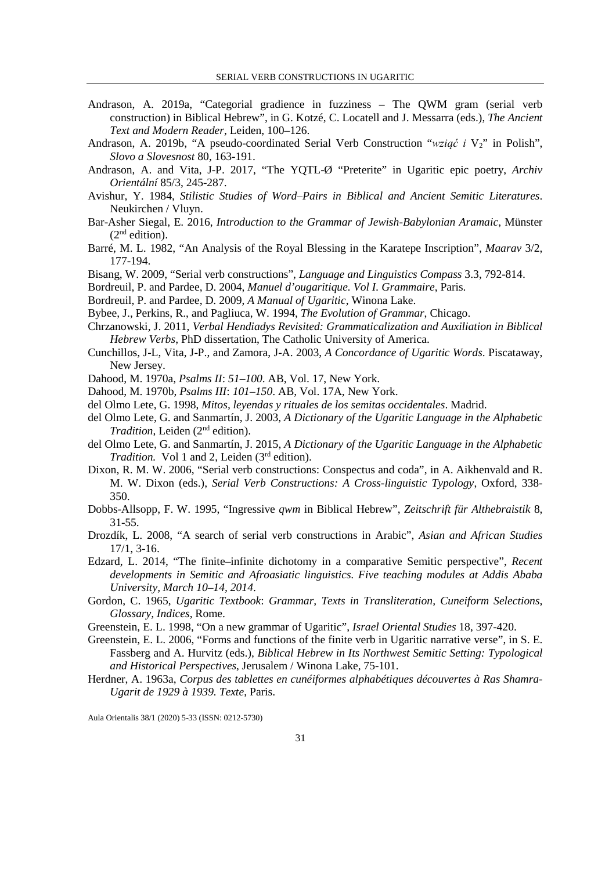- Andrason, A. 2019a, "Categorial gradience in fuzziness The QWM gram (serial verb construction) in Biblical Hebrew", in G. Kotzé, C. Locatell and J. Messarra (eds.), *The Ancient Text and Modern Reader*, Leiden, 100–126.
- Andrason, A. 2019b, "A pseudo-coordinated Serial Verb Construction "*wziąć i* V<sub>2</sub>" in Polish", *Slovo a Slovesnost* 80, 163-191.
- Andrason, A. and Vita, J-P. 2017, "The YQTL-Ø "Preterite" in Ugaritic epic poetry, *Archiv Orientální* 85/3, 245-287.
- Avishur, Y. 1984, *Stilistic Studies of Word–Pairs in Biblical and Ancient Semitic Literatures*. Neukirchen / Vluyn.
- Bar-Asher Siegal, E. 2016, *Introduction to the Grammar of Jewish-Babylonian Aramaic*, Münster  $(2<sup>nd</sup>$  edition).
- Barré, M. L. 1982, "An Analysis of the Royal Blessing in the Karatepe Inscription", *Maarav* 3/2, 177-194.
- Bisang, W. 2009, "Serial verb constructions", *Language and Linguistics Compass* 3.3, 792-814.
- Bordreuil, P. and Pardee, D. 2004, *Manuel d'ougaritique. Vol I. Grammaire*, Paris.
- Bordreuil, P. and Pardee, D. 2009, *A Manual of Ugaritic*, Winona Lake.
- Bybee, J., Perkins, R., and Pagliuca, W. 1994, *The Evolution of Grammar*, Chicago.
- Chrzanowski, J. 2011, *Verbal Hendiadys Revisited: Grammaticalization and Auxiliation in Biblical Hebrew Verbs*, PhD dissertation, The Catholic University of America.
- Cunchillos, J-L, Vita, J-P., and Zamora, J-A. 2003, *A Concordance of Ugaritic Words*. Piscataway, New Jersey.
- Dahood, M. 1970a, *Psalms II*: *51–100*. AB, Vol. 17, New York.
- Dahood, M. 1970b, *Psalms III*: *101–150*. AB, Vol. 17A, New York.
- del Olmo Lete, G. 1998, *Mitos, leyendas y rituales de los semitas occidentales*. Madrid.
- del Olmo Lete, G. and Sanmartín, J. 2003, *A Dictionary of the Ugaritic Language in the Alphabetic Tradition*, Leiden (2<sup>nd</sup> edition).
- del Olmo Lete, G. and Sanmartín, J. 2015, *A Dictionary of the Ugaritic Language in the Alphabetic Tradition.* Vol 1 and 2, Leiden (3<sup>rd</sup> edition).
- Dixon, R. M. W. 2006, "Serial verb constructions: Conspectus and coda", in A. Aikhenvald and R. M. W. Dixon (eds.), *Serial Verb Constructions: A Cross-linguistic Typology*, Oxford, 338- 350.
- Dobbs-Allsopp, F. W. 1995, "Ingressive *qwm* in Biblical Hebrew", *Zeitschrift für Althebraistik* 8, 31-55.
- Drozdík, L. 2008, "A search of serial verb constructions in Arabic", *Asian and African Studies* 17/1, 3-16.
- Edzard, L. 2014, "The finite–infinite dichotomy in a comparative Semitic perspective", *Recent developments in Semitic and Afroasiatic linguistics. Five teaching modules at Addis Ababa University, March 10–14, 2014*.
- Gordon, C. 1965, *Ugaritic Textbook*: *Grammar, Texts in Transliteration, Cuneiform Selections, Glossary, Indices*, Rome.
- Greenstein, E. L. 1998, "On a new grammar of Ugaritic", *Israel Oriental Studies* 18, 397-420.
- Greenstein, E. L. 2006, "Forms and functions of the finite verb in Ugaritic narrative verse", in S. E. Fassberg and A. Hurvitz (eds.), *Biblical Hebrew in Its Northwest Semitic Setting: Typological and Historical Perspectives*, Jerusalem / Winona Lake, 75-101.
- Herdner, A. 1963a, *Corpus des tablettes en cunéiformes alphabétiques découvertes à Ras Shamra-Ugarit de 1929 à 1939. Texte*, Paris.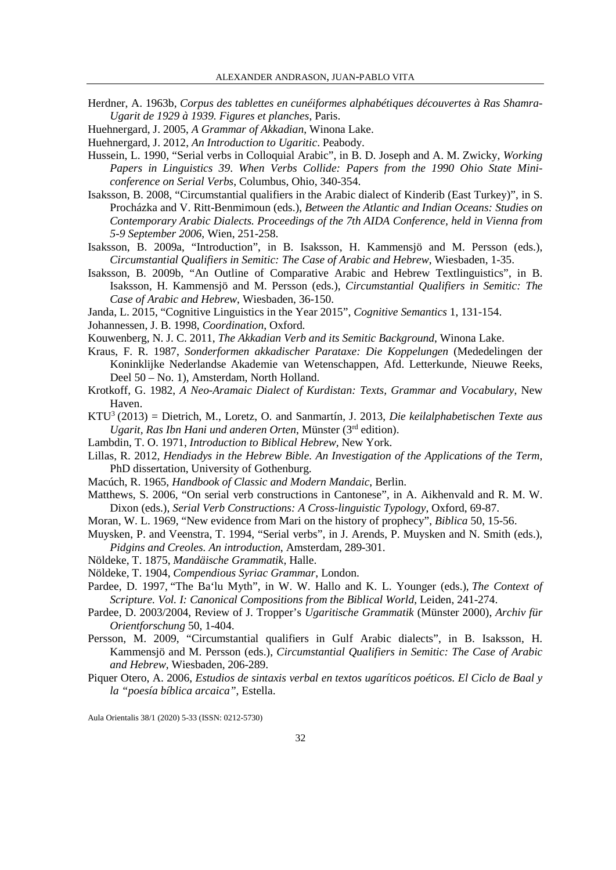- Herdner, A. 1963b, *Corpus des tablettes en cunéiformes alphabétiques découvertes à Ras Shamra-Ugarit de 1929 à 1939. Figures et planches*, Paris.
- Huehnergard, J. 2005, *A Grammar of Akkadian*, Winona Lake.
- Huehnergard, J. 2012, *An Introduction to Ugaritic*. Peabody.
- Hussein, L. 1990, "Serial verbs in Colloquial Arabic", in B. D. Joseph and A. M. Zwicky, *Working Papers in Linguistics 39*. *When Verbs Collide: Papers from the 1990 Ohio State Miniconference on Serial Verbs*, Columbus, Ohio, 340-354.
- Isaksson, B. 2008, "Circumstantial qualifiers in the Arabic dialect of Kinderib (East Turkey)", in S. Procházka and V. Ritt-Benmimoun (eds.), *Between the Atlantic and Indian Oceans: Studies on Contemporary Arabic Dialects. Proceedings of the 7th AIDA Conference, held in Vienna from 5-9 September 2006*, Wien, 251-258.
- Isaksson, B. 2009a, "Introduction", in B. Isaksson, H. Kammensjö and M. Persson (eds.), *Circumstantial Qualifiers in Semitic: The Case of Arabic and Hebrew*, Wiesbaden, 1-35.
- Isaksson, B. 2009b, "An Outline of Comparative Arabic and Hebrew Textlinguistics", in B. Isaksson, H. Kammensjö and M. Persson (eds.), *Circumstantial Qualifiers in Semitic: The Case of Arabic and Hebrew*, Wiesbaden, 36-150.
- Janda, L. 2015, "Cognitive Linguistics in the Year 2015", *Cognitive Semantics* 1, 131-154.

Johannessen, J. B. 1998, *Coordination*, Oxford.

- Kouwenberg, N. J. C. 2011, *The Akkadian Verb and its Semitic Background*, Winona Lake.
- Kraus, F. R. 1987, *Sonderformen akkadischer Parataxe: Die Koppelungen* (Mededelingen der Koninklijke Nederlandse Akademie van Wetenschappen, Afd. Letterkunde, Nieuwe Reeks, Deel 50 – No. 1), Amsterdam, North Holland.
- Krotkoff, G. 1982, *A Neo-Aramaic Dialect of Kurdistan: Texts, Grammar and Vocabulary*, New Haven.
- KTU3 (2013) = Dietrich, M., Loretz, O. and Sanmartín, J. 2013, *Die keilalphabetischen Texte aus Ugarit, Ras Ibn Hani und anderen Orten*, Münster (3rd edition).
- Lambdin, T. O. 1971, *Introduction to Biblical Hebrew,* New York.
- Lillas, R. 2012, *Hendiadys in the Hebrew Bible. An Investigation of the Applications of the Term,*  PhD dissertation, University of Gothenburg.
- Macúch, R. 1965, *Handbook of Classic and Modern Mandaic*, Berlin.
- Matthews, S. 2006, "On serial verb constructions in Cantonese", in A. Aikhenvald and R. M. W. Dixon (eds.), *Serial Verb Constructions: A Cross-linguistic Typology*, Oxford, 69-87.
- Moran, W. L. 1969, "New evidence from Mari on the history of prophecy", *Biblica* 50, 15-56.
- Muysken, P. and Veenstra, T. 1994, "Serial verbs", in J. Arends, P. Muysken and N. Smith (eds.), *Pidgins and Creoles. An introduction*, Amsterdam, 289-301.
- Nöldeke, T. 1875, *Mandäische Grammatik*, Halle.
- Nöldeke, T. 1904, *Compendious Syriac Grammar*, London.
- Pardee, D. 1997, "The Ba'lu Myth", in W. W. Hallo and K. L. Younger (eds.), *The Context of Scripture. Vol. I: Canonical Compositions from the Biblical World*, Leiden, 241-274.
- Pardee, D. 2003/2004, Review of J. Tropper's *Ugaritische Grammatik* (Münster 2000), *Archiv für Orientforschung* 50, 1-404.
- Persson, M. 2009, "Circumstantial qualifiers in Gulf Arabic dialects", in B. Isaksson, H. Kammensjö and M. Persson (eds.), *Circumstantial Qualifiers in Semitic: The Case of Arabic and Hebrew*, Wiesbaden, 206-289.
- Piquer Otero, A. 2006, *Estudios de sintaxis verbal en textos ugaríticos poéticos. El Ciclo de Baal y la "poesía bíblica arcaica"*, Estella.